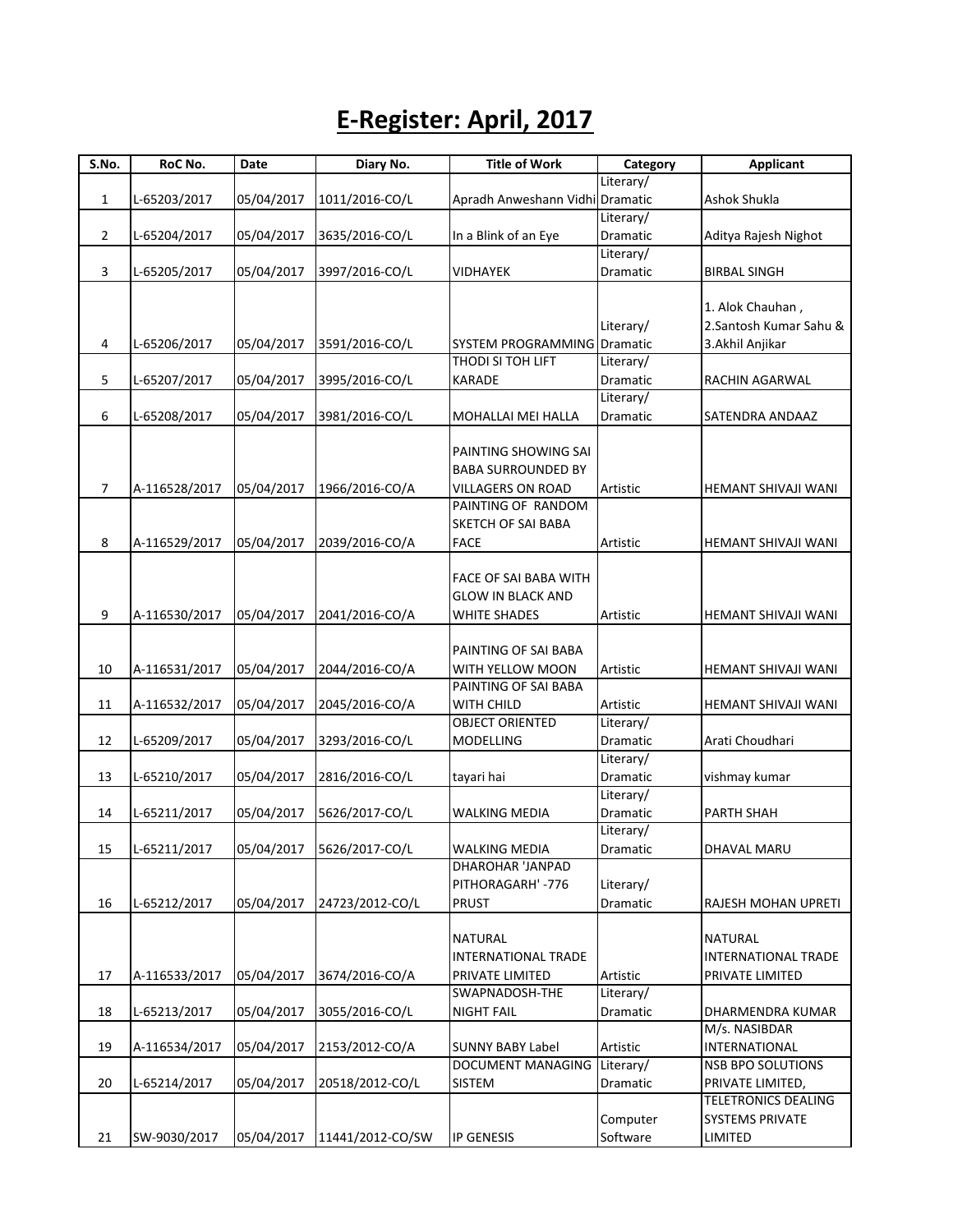## **E-Register: April, 2017**

| S.No.          | RoC No.       | Date       | Diary No.                 | <b>Title of Work</b>            | Category  | <b>Applicant</b>           |
|----------------|---------------|------------|---------------------------|---------------------------------|-----------|----------------------------|
|                |               |            |                           |                                 | Literary/ |                            |
| $\mathbf{1}$   | L-65203/2017  | 05/04/2017 | 1011/2016-CO/L            | Apradh Anweshann Vidhi Dramatic |           | Ashok Shukla               |
|                |               |            |                           |                                 | Literary/ |                            |
| $\overline{2}$ | L-65204/2017  | 05/04/2017 | 3635/2016-CO/L            | In a Blink of an Eye            | Dramatic  | Aditya Rajesh Nighot       |
|                |               |            |                           |                                 | Literary/ |                            |
| 3              | L-65205/2017  | 05/04/2017 | 3997/2016-CO/L            | VIDHAYEK                        | Dramatic  | <b>BIRBAL SINGH</b>        |
|                |               |            |                           |                                 |           |                            |
|                |               |            |                           |                                 |           | 1. Alok Chauhan,           |
|                |               |            |                           |                                 | Literary/ | 2. Santosh Kumar Sahu &    |
| 4              | L-65206/2017  | 05/04/2017 | 3591/2016-CO/L            | SYSTEM PROGRAMMING Dramatic     |           | 3.Akhil Anjikar            |
|                |               |            |                           | THODI SI TOH LIFT               | Literary/ |                            |
| 5              | L-65207/2017  | 05/04/2017 | 3995/2016-CO/L            | <b>KARADE</b>                   | Dramatic  | RACHIN AGARWAL             |
|                |               |            |                           |                                 | Literary/ |                            |
| 6              | L-65208/2017  | 05/04/2017 | 3981/2016-CO/L            | MOHALLAI MEI HALLA              | Dramatic  | SATENDRA ANDAAZ            |
|                |               |            |                           |                                 |           |                            |
|                |               |            |                           | PAINTING SHOWING SAI            |           |                            |
|                |               |            |                           | <b>BABA SURROUNDED BY</b>       |           |                            |
| $\overline{7}$ | A-116528/2017 | 05/04/2017 | 1966/2016-CO/A            | <b>VILLAGERS ON ROAD</b>        | Artistic  | HEMANT SHIVAJI WANI        |
|                |               |            |                           | PAINTING OF RANDOM              |           |                            |
|                |               |            |                           | SKETCH OF SAI BABA              |           |                            |
| 8              | A-116529/2017 | 05/04/2017 | 2039/2016-CO/A            | <b>FACE</b>                     | Artistic  | HEMANT SHIVAJI WANI        |
|                |               |            |                           |                                 |           |                            |
|                |               |            |                           | FACE OF SAI BABA WITH           |           |                            |
|                |               |            |                           | <b>GLOW IN BLACK AND</b>        |           |                            |
| 9              | A-116530/2017 | 05/04/2017 | 2041/2016-CO/A            | <b>WHITE SHADES</b>             | Artistic  | HEMANT SHIVAJI WANI        |
|                |               |            |                           |                                 |           |                            |
|                |               |            |                           | PAINTING OF SAI BABA            |           |                            |
| 10             | A-116531/2017 | 05/04/2017 | 2044/2016-CO/A            | WITH YELLOW MOON                | Artistic  | HEMANT SHIVAJI WANI        |
|                |               |            |                           | PAINTING OF SAI BABA            |           |                            |
| 11             | A-116532/2017 | 05/04/2017 | 2045/2016-CO/A            | WITH CHILD                      | Artistic  | HEMANT SHIVAJI WANI        |
|                |               |            |                           | <b>OBJECT ORIENTED</b>          | Literary/ |                            |
| 12             | L-65209/2017  | 05/04/2017 | 3293/2016-CO/L            | MODELLING                       | Dramatic  | Arati Choudhari            |
|                |               |            |                           |                                 | Literary/ |                            |
| 13             | L-65210/2017  | 05/04/2017 | 2816/2016-CO/L            | tayari hai                      | Dramatic  | vishmay kumar              |
|                |               |            |                           |                                 | Literary/ |                            |
| 14             | L-65211/2017  | 05/04/2017 | 5626/2017-CO/L            | WALKING MEDIA                   | Dramatic  | PARTH SHAH                 |
|                |               |            |                           |                                 | Literary/ |                            |
| 15             | L-65211/2017  |            | 05/04/2017 5626/2017-CO/L | WALKING MEDIA                   | Dramatic  | DHAVAL MARU                |
|                |               |            |                           | <b>DHAROHAR 'JANPAD</b>         |           |                            |
|                |               |            |                           | PITHORAGARH' -776               | Literary/ |                            |
| 16             | L-65212/2017  | 05/04/2017 | 24723/2012-CO/L           | <b>PRUST</b>                    | Dramatic  | RAJESH MOHAN UPRETI        |
|                |               |            |                           |                                 |           |                            |
|                |               |            |                           | NATURAL                         |           | <b>NATURAL</b>             |
|                |               |            |                           | INTERNATIONAL TRADE             |           | <b>INTERNATIONAL TRADE</b> |
| 17             | A-116533/2017 | 05/04/2017 | 3674/2016-CO/A            | PRIVATE LIMITED                 | Artistic  | PRIVATE LIMITED            |
|                |               |            |                           | SWAPNADOSH-THE                  | Literary/ |                            |
| 18             | L-65213/2017  | 05/04/2017 | 3055/2016-CO/L            | <b>NIGHT FAIL</b>               | Dramatic  | DHARMENDRA KUMAR           |
|                |               |            |                           |                                 |           | M/s. NASIBDAR              |
| 19             | A-116534/2017 | 05/04/2017 | 2153/2012-CO/A            | <b>SUNNY BABY Label</b>         | Artistic  | <b>INTERNATIONAL</b>       |
|                |               |            |                           | <b>DOCUMENT MANAGING</b>        | Literary/ | <b>NSB BPO SOLUTIONS</b>   |
| 20             | L-65214/2017  | 05/04/2017 | 20518/2012-CO/L           | <b>SISTEM</b>                   | Dramatic  | PRIVATE LIMITED,           |
|                |               |            |                           |                                 |           | <b>TELETRONICS DEALING</b> |
|                |               |            |                           |                                 | Computer  | <b>SYSTEMS PRIVATE</b>     |
| 21             | SW-9030/2017  | 05/04/2017 | 11441/2012-CO/SW          | <b>IP GENESIS</b>               | Software  | LIMITED                    |
|                |               |            |                           |                                 |           |                            |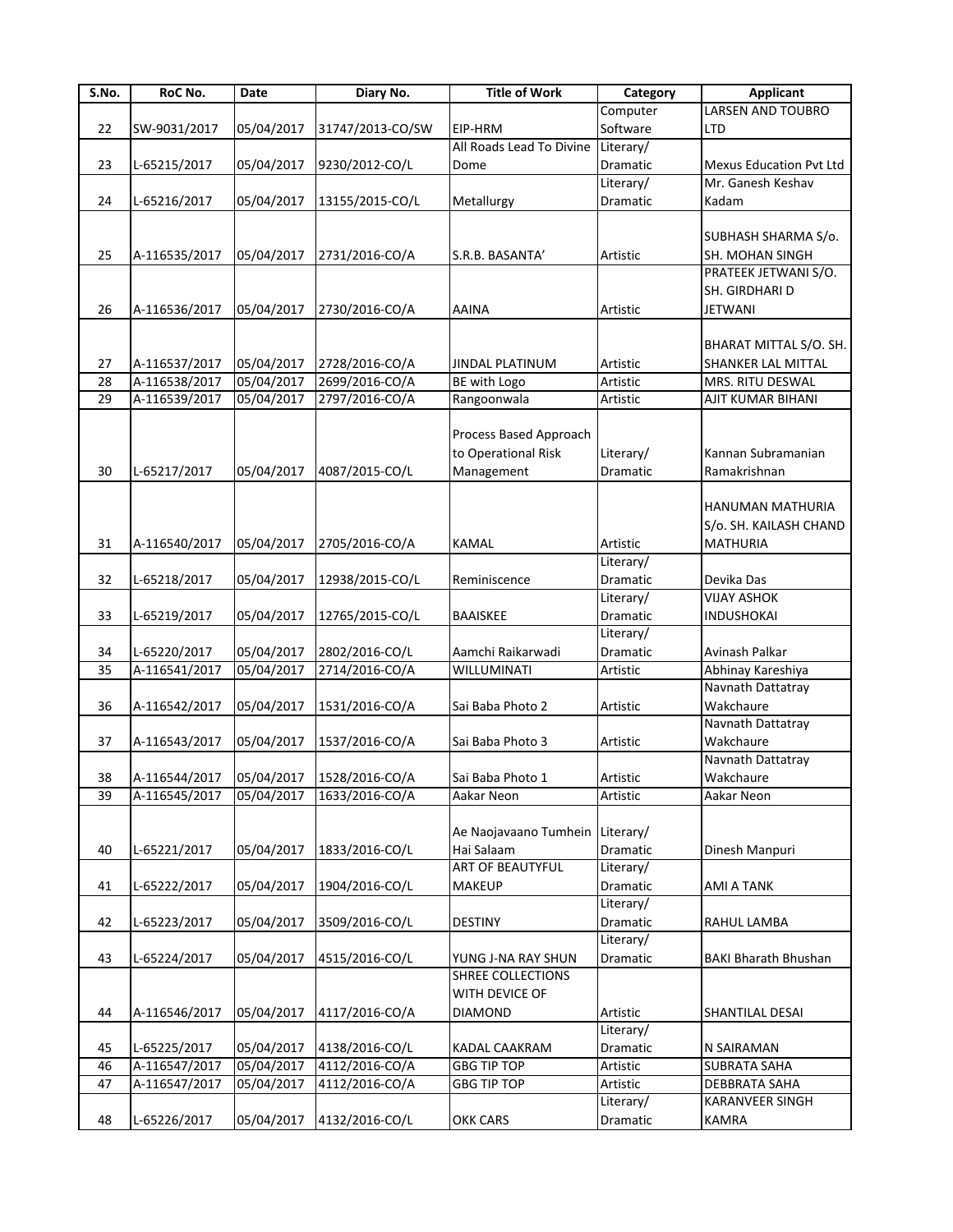| S.No. | RoC No.       | Date       | Diary No.                               | <b>Title of Work</b>     | Category        | <b>Applicant</b>               |
|-------|---------------|------------|-----------------------------------------|--------------------------|-----------------|--------------------------------|
|       |               |            |                                         |                          | Computer        | <b>LARSEN AND TOUBRO</b>       |
| 22    | SW-9031/2017  | 05/04/2017 | 31747/2013-CO/SW                        | EIP-HRM                  | Software        | <b>LTD</b>                     |
|       |               |            |                                         | All Roads Lead To Divine | Literary/       |                                |
| 23    | L-65215/2017  | 05/04/2017 | 9230/2012-CO/L                          | Dome                     | Dramatic        | <b>Mexus Education Pvt Ltd</b> |
|       |               |            |                                         |                          | Literary/       | Mr. Ganesh Keshav              |
| 24    | L-65216/2017  | 05/04/2017 | 13155/2015-CO/L                         | Metallurgy               | Dramatic        | Kadam                          |
|       |               |            |                                         |                          |                 |                                |
|       |               |            |                                         |                          |                 | SUBHASH SHARMA S/o.            |
| 25    | A-116535/2017 | 05/04/2017 | 2731/2016-CO/A                          | S.R.B. BASANTA'          | Artistic        | SH. MOHAN SINGH                |
|       |               |            |                                         |                          |                 | PRATEEK JETWANI S/O.           |
|       |               |            |                                         |                          |                 | SH. GIRDHARI D                 |
| 26    | A-116536/2017 | 05/04/2017 | 2730/2016-CO/A                          | AAINA                    | Artistic        | <b>JETWANI</b>                 |
|       |               |            |                                         |                          |                 |                                |
|       |               |            |                                         |                          |                 | BHARAT MITTAL S/O. SH.         |
| 27    | A-116537/2017 | 05/04/2017 | 2728/2016-CO/A                          | JINDAL PLATINUM          | Artistic        | SHANKER LAL MITTAL             |
| 28    | A-116538/2017 | 05/04/2017 | 2699/2016-CO/A                          | BE with Logo             | Artistic        | MRS. RITU DESWAL               |
|       |               |            |                                         |                          |                 |                                |
| 29    | A-116539/2017 | 05/04/2017 | 2797/2016-CO/A                          | Rangoonwala              | Artistic        | AJIT KUMAR BIHANI              |
|       |               |            |                                         |                          |                 |                                |
|       |               |            |                                         | Process Based Approach   |                 |                                |
|       |               |            |                                         | to Operational Risk      | Literary/       | Kannan Subramanian             |
| 30    | L-65217/2017  | 05/04/2017 | 4087/2015-CO/L                          | Management               | <b>Dramatic</b> | Ramakrishnan                   |
|       |               |            |                                         |                          |                 |                                |
|       |               |            |                                         |                          |                 | HANUMAN MATHURIA               |
|       |               |            |                                         |                          |                 | S/o. SH. KAILASH CHAND         |
| 31    | A-116540/2017 | 05/04/2017 | 2705/2016-CO/A                          | KAMAL                    | Artistic        | <b>MATHURIA</b>                |
|       |               |            |                                         |                          | Literary/       |                                |
| 32    | L-65218/2017  | 05/04/2017 | 12938/2015-CO/L                         | Reminiscence             | Dramatic        | Devika Das                     |
|       |               |            |                                         |                          | Literary/       | <b>VIJAY ASHOK</b>             |
| 33    | L-65219/2017  | 05/04/2017 | 12765/2015-CO/L                         | BAAISKEE                 | Dramatic        | <b>INDUSHOKAI</b>              |
|       |               |            |                                         |                          | Literary/       |                                |
| 34    | L-65220/2017  | 05/04/2017 | 2802/2016-CO/L                          | Aamchi Raikarwadi        | Dramatic        | Avinash Palkar                 |
| 35    | A-116541/2017 | 05/04/2017 | 2714/2016-CO/A                          | WILLUMINATI              | Artistic        | Abhinay Kareshiya              |
|       |               |            |                                         |                          |                 | Navnath Dattatray              |
| 36    | A-116542/2017 | 05/04/2017 | 1531/2016-CO/A                          | Sai Baba Photo 2         | Artistic        | Wakchaure                      |
|       |               |            |                                         |                          |                 | Navnath Dattatray              |
|       |               |            |                                         |                          |                 |                                |
| 37    | A-116543/2017 | 05/04/2017 | 1537/2016-CO/A                          | Sai Baba Photo 3         | Artistic        | Wakchaure                      |
|       |               |            |                                         |                          |                 | Navnath Dattatray              |
| 38    |               |            | A-116544/2017 05/04/2017 1528/2016-CO/A | Sai Baba Photo 1         | Artistic        | Wakchaure                      |
| 39    | A-116545/2017 | 05/04/2017 | 1633/2016-CO/A                          | Aakar Neon               | Artistic        | Aakar Neon                     |
|       |               |            |                                         |                          |                 |                                |
|       |               |            |                                         | Ae Naojavaano Tumhein    | Literary/       |                                |
| 40    | L-65221/2017  | 05/04/2017 | 1833/2016-CO/L                          | Hai Salaam               | Dramatic        | Dinesh Manpuri                 |
|       |               |            |                                         | ART OF BEAUTYFUL         | Literary/       |                                |
| 41    | L-65222/2017  | 05/04/2017 | 1904/2016-CO/L                          | <b>MAKEUP</b>            | Dramatic        | AMI A TANK                     |
|       |               |            |                                         |                          | Literary/       |                                |
| 42    | L-65223/2017  | 05/04/2017 | 3509/2016-CO/L                          | <b>DESTINY</b>           | Dramatic        | <b>RAHUL LAMBA</b>             |
|       |               |            |                                         |                          | Literary/       |                                |
| 43    | L-65224/2017  | 05/04/2017 | 4515/2016-CO/L                          | YUNG J-NA RAY SHUN       | Dramatic        | <b>BAKI Bharath Bhushan</b>    |
|       |               |            |                                         | SHREE COLLECTIONS        |                 |                                |
|       |               |            |                                         | WITH DEVICE OF           |                 |                                |
| 44    | A-116546/2017 | 05/04/2017 | 4117/2016-CO/A                          | <b>DIAMOND</b>           | Artistic        | SHANTILAL DESAI                |
|       |               |            |                                         |                          |                 |                                |
|       |               |            |                                         |                          | Literary/       |                                |
| 45    | L-65225/2017  | 05/04/2017 | 4138/2016-CO/L                          | KADAL CAAKRAM            | Dramatic        | N SAIRAMAN                     |
| 46    | A-116547/2017 | 05/04/2017 | 4112/2016-CO/A                          | <b>GBG TIP TOP</b>       | Artistic        | <b>SUBRATA SAHA</b>            |
| 47    | A-116547/2017 | 05/04/2017 | 4112/2016-CO/A                          | GBG TIP TOP              | Artistic        | DEBBRATA SAHA                  |
|       |               |            |                                         |                          | Literary/       | KARANVEER SINGH                |
| 48    | L-65226/2017  | 05/04/2017 | 4132/2016-CO/L                          | OKK CARS                 | Dramatic        | <b>KAMRA</b>                   |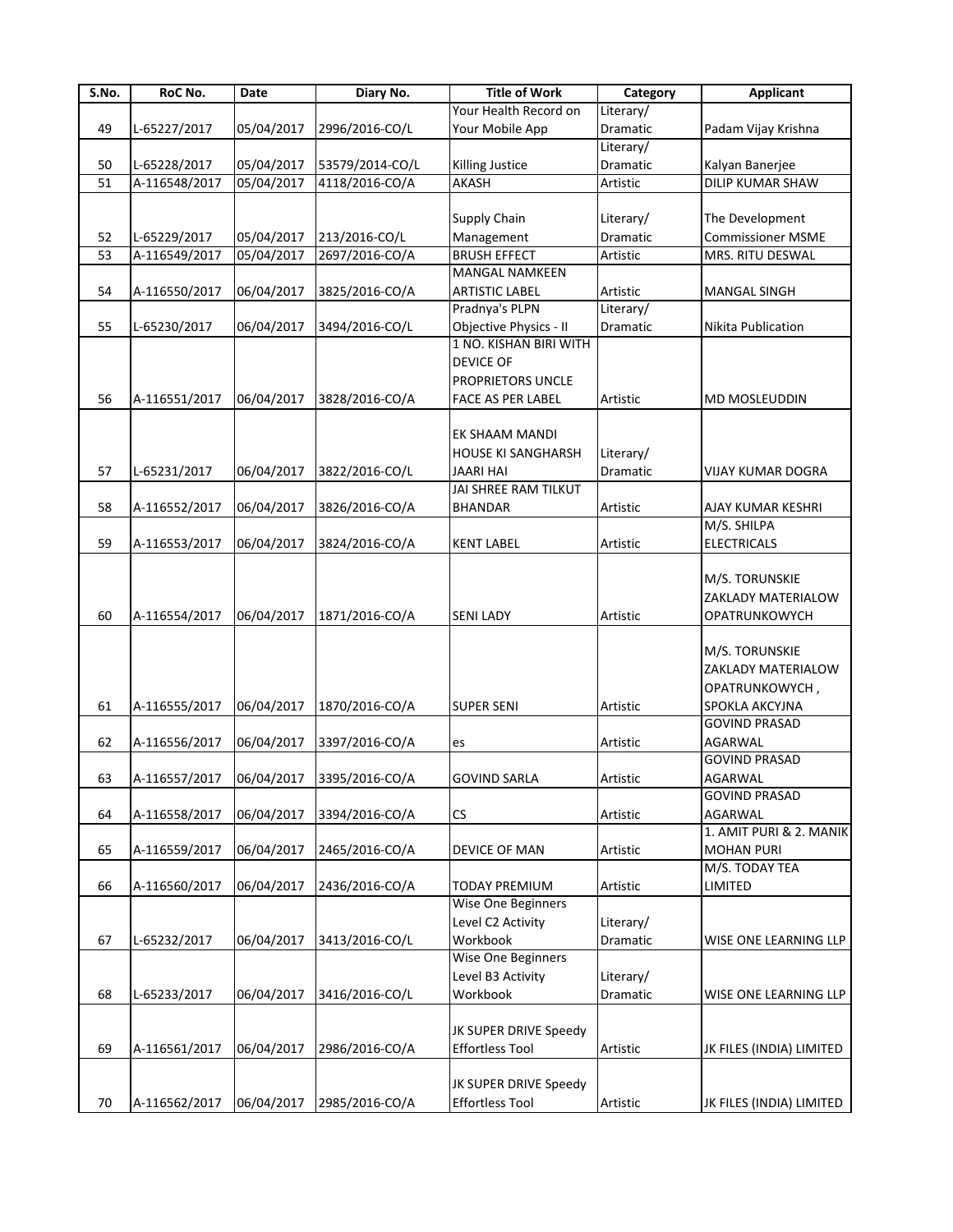| S.No. | RoC No.                  | <b>Date</b> | Diary No.       | <b>Title of Work</b>                              | Category        | <b>Applicant</b>                    |
|-------|--------------------------|-------------|-----------------|---------------------------------------------------|-----------------|-------------------------------------|
|       |                          |             |                 | Your Health Record on                             | Literary/       |                                     |
| 49    | L-65227/2017             | 05/04/2017  | 2996/2016-CO/L  | Your Mobile App                                   | Dramatic        | Padam Vijay Krishna                 |
|       |                          |             |                 |                                                   | Literary/       |                                     |
| 50    | L-65228/2017             | 05/04/2017  | 53579/2014-CO/L | Killing Justice                                   | Dramatic        | Kalyan Banerjee                     |
| 51    | A-116548/2017            | 05/04/2017  | 4118/2016-CO/A  | AKASH                                             | Artistic        | <b>DILIP KUMAR SHAW</b>             |
|       |                          |             |                 |                                                   |                 |                                     |
|       |                          |             |                 | Supply Chain                                      | Literary/       | The Development                     |
| 52    | L-65229/2017             | 05/04/2017  | 213/2016-CO/L   | Management                                        | Dramatic        | <b>Commissioner MSME</b>            |
| 53    | A-116549/2017            | 05/04/2017  | 2697/2016-CO/A  | <b>BRUSH EFFECT</b>                               | Artistic        | MRS. RITU DESWAL                    |
|       |                          |             |                 | <b>MANGAL NAMKEEN</b>                             |                 |                                     |
| 54    | A-116550/2017            | 06/04/2017  | 3825/2016-CO/A  | <b>ARTISTIC LABEL</b>                             | Artistic        | <b>MANGAL SINGH</b>                 |
|       |                          |             |                 | Pradnya's PLPN                                    | Literary/       |                                     |
| 55    | L-65230/2017             | 06/04/2017  | 3494/2016-CO/L  | Objective Physics - II                            | Dramatic        | Nikita Publication                  |
|       |                          |             |                 | 1 NO. KISHAN BIRI WITH                            |                 |                                     |
|       |                          |             |                 | <b>DEVICE OF</b>                                  |                 |                                     |
|       |                          |             |                 | PROPRIETORS UNCLE                                 |                 |                                     |
| 56    | A-116551/2017            | 06/04/2017  | 3828/2016-CO/A  | FACE AS PER LABEL                                 | Artistic        | MD MOSLEUDDIN                       |
|       |                          |             |                 |                                                   |                 |                                     |
|       |                          |             |                 | EK SHAAM MANDI                                    |                 |                                     |
|       |                          |             |                 | HOUSE KI SANGHARSH                                | Literary/       |                                     |
| 57    | L-65231/2017             | 06/04/2017  | 3822/2016-CO/L  | JAARI HAI                                         | <b>Dramatic</b> | <b>VIJAY KUMAR DOGRA</b>            |
|       |                          |             |                 | JAI SHREE RAM TILKUT                              |                 |                                     |
| 58    | A-116552/2017            | 06/04/2017  | 3826/2016-CO/A  | <b>BHANDAR</b>                                    | Artistic        | AJAY KUMAR KESHRI                   |
|       |                          |             |                 |                                                   |                 | M/S. SHILPA                         |
| 59    | A-116553/2017            | 06/04/2017  | 3824/2016-CO/A  | <b>KENT LABEL</b>                                 | Artistic        | <b>ELECTRICALS</b>                  |
|       |                          |             |                 |                                                   |                 |                                     |
|       |                          |             |                 |                                                   |                 | M/S. TORUNSKIE                      |
|       |                          |             |                 |                                                   |                 | ZAKLADY MATERIALOW                  |
| 60    | A-116554/2017            | 06/04/2017  | 1871/2016-CO/A  | <b>SENI LADY</b>                                  | Artistic        | <b>OPATRUNKOWYCH</b>                |
|       |                          |             |                 |                                                   |                 |                                     |
|       |                          |             |                 |                                                   |                 | M/S. TORUNSKIE                      |
|       |                          |             |                 |                                                   |                 | ZAKLADY MATERIALOW                  |
|       |                          |             |                 |                                                   |                 | OPATRUNKOWYCH,                      |
| 61    | A-116555/2017            | 06/04/2017  | 1870/2016-CO/A  | <b>SUPER SENI</b>                                 | Artistic        | SPOKLA AKCYJNA                      |
|       |                          |             |                 |                                                   |                 | <b>GOVIND PRASAD</b>                |
| 62    | A-116556/2017            | 06/04/2017  | 3397/2016-CO/A  | es                                                | Artistic        | AGARWAL                             |
|       |                          |             |                 |                                                   |                 | <b>GOVIND PRASAD</b>                |
| 63    |                          |             |                 |                                                   |                 | AGARWAL                             |
|       | A-116557/2017 06/04/2017 |             | 3395/2016-CO/A  | <b>GOVIND SARLA</b>                               | Artistic        | <b>GOVIND PRASAD</b>                |
| 64    | A-116558/2017            |             | 3394/2016-CO/A  | CS                                                | Artistic        | AGARWAL                             |
|       |                          | 06/04/2017  |                 |                                                   |                 | 1. AMIT PURI & 2. MANIK             |
| 65    |                          |             |                 |                                                   |                 |                                     |
|       | A-116559/2017            | 06/04/2017  | 2465/2016-CO/A  | DEVICE OF MAN                                     | Artistic        | <b>MOHAN PURI</b><br>M/S. TODAY TEA |
| 66    |                          |             |                 |                                                   |                 |                                     |
|       | A-116560/2017            | 06/04/2017  | 2436/2016-CO/A  | <b>TODAY PREMIUM</b><br><b>Wise One Beginners</b> | Artistic        | LIMITED                             |
|       |                          |             |                 |                                                   |                 |                                     |
|       |                          |             |                 | Level C2 Activity                                 | Literary/       |                                     |
| 67    | L-65232/2017             | 06/04/2017  | 3413/2016-CO/L  | Workbook                                          | Dramatic        | WISE ONE LEARNING LLP               |
|       |                          |             |                 | Wise One Beginners                                |                 |                                     |
|       |                          |             |                 | Level B3 Activity                                 | Literary/       |                                     |
| 68    | L-65233/2017             | 06/04/2017  | 3416/2016-CO/L  | Workbook                                          | Dramatic        | WISE ONE LEARNING LLP               |
|       |                          |             |                 |                                                   |                 |                                     |
|       |                          |             |                 | JK SUPER DRIVE Speedy                             |                 |                                     |
| 69    | A-116561/2017            | 06/04/2017  | 2986/2016-CO/A  | <b>Effortless Tool</b>                            | Artistic        | JK FILES (INDIA) LIMITED            |
|       |                          |             |                 |                                                   |                 |                                     |
|       |                          |             |                 | JK SUPER DRIVE Speedy                             |                 |                                     |
| 70    | A-116562/2017            | 06/04/2017  | 2985/2016-CO/A  | <b>Effortless Tool</b>                            | Artistic        | JK FILES (INDIA) LIMITED            |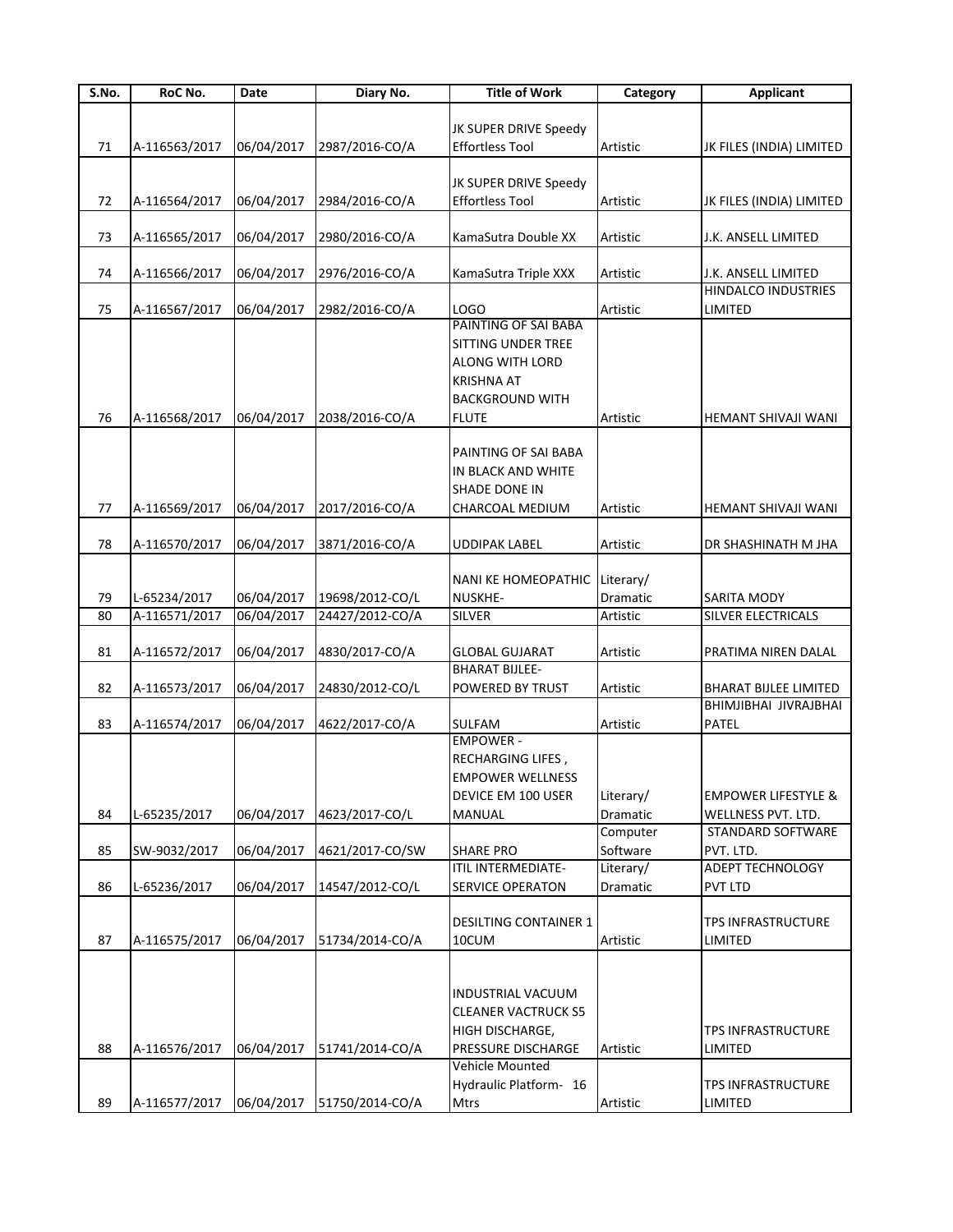| S.No. | RoC No.       | Date       | Diary No.       | <b>Title of Work</b>         | Category  | <b>Applicant</b>               |
|-------|---------------|------------|-----------------|------------------------------|-----------|--------------------------------|
|       |               |            |                 |                              |           |                                |
|       |               |            |                 | JK SUPER DRIVE Speedy        |           |                                |
| 71    | A-116563/2017 | 06/04/2017 | 2987/2016-CO/A  | <b>Effortless Tool</b>       | Artistic  | JK FILES (INDIA) LIMITED       |
|       |               |            |                 |                              |           |                                |
|       |               |            |                 | JK SUPER DRIVE Speedy        |           |                                |
| 72    | A-116564/2017 | 06/04/2017 | 2984/2016-CO/A  | <b>Effortless Tool</b>       | Artistic  | JK FILES (INDIA) LIMITED       |
|       |               |            |                 |                              |           |                                |
| 73    | A-116565/2017 | 06/04/2017 | 2980/2016-CO/A  | KamaSutra Double XX          | Artistic  | J.K. ANSELL LIMITED            |
|       |               |            |                 |                              |           |                                |
| 74    | A-116566/2017 | 06/04/2017 | 2976/2016-CO/A  | KamaSutra Triple XXX         | Artistic  | J.K. ANSELL LIMITED            |
|       |               |            |                 |                              |           | HINDALCO INDUSTRIES            |
| 75    | A-116567/2017 | 06/04/2017 | 2982/2016-CO/A  | LOGO                         | Artistic  | LIMITED                        |
|       |               |            |                 | PAINTING OF SAI BABA         |           |                                |
|       |               |            |                 | SITTING UNDER TREE           |           |                                |
|       |               |            |                 | ALONG WITH LORD              |           |                                |
|       |               |            |                 | <b>KRISHNA AT</b>            |           |                                |
|       |               |            |                 | <b>BACKGROUND WITH</b>       |           |                                |
| 76    | A-116568/2017 | 06/04/2017 | 2038/2016-CO/A  | <b>FLUTE</b>                 | Artistic  | HEMANT SHIVAJI WANI            |
|       |               |            |                 |                              |           |                                |
|       |               |            |                 | PAINTING OF SAI BABA         |           |                                |
|       |               |            |                 | IN BLACK AND WHITE           |           |                                |
|       |               |            |                 | SHADE DONE IN                |           |                                |
| 77    | A-116569/2017 | 06/04/2017 | 2017/2016-CO/A  | CHARCOAL MEDIUM              | Artistic  | HEMANT SHIVAJI WANI            |
|       |               |            |                 |                              |           |                                |
| 78    | A-116570/2017 | 06/04/2017 | 3871/2016-CO/A  | <b>UDDIPAK LABEL</b>         | Artistic  | DR SHASHINATH M JHA            |
|       |               |            |                 |                              |           |                                |
|       |               |            |                 | <b>NANI KE HOMEOPATHIC</b>   | Literary/ |                                |
| 79    | L-65234/2017  | 06/04/2017 | 19698/2012-CO/L | NUSKHE-                      | Dramatic  | SARITA MODY                    |
| 80    | A-116571/2017 | 06/04/2017 | 24427/2012-CO/A | <b>SILVER</b>                | Artistic  | SILVER ELECTRICALS             |
|       |               |            |                 |                              |           |                                |
| 81    | A-116572/2017 | 06/04/2017 | 4830/2017-CO/A  | <b>GLOBAL GUJARAT</b>        | Artistic  | PRATIMA NIREN DALAL            |
|       |               |            |                 | <b>BHARAT BIJLEE-</b>        |           |                                |
| 82    | A-116573/2017 | 06/04/2017 | 24830/2012-CO/L | POWERED BY TRUST             | Artistic  | <b>BHARAT BIJLEE LIMITED</b>   |
|       |               |            |                 |                              |           | BHIMJIBHAI JIVRAJBHAI          |
| 83    | A-116574/2017 | 06/04/2017 | 4622/2017-CO/A  | <b>SULFAM</b>                | Artistic  | PATEL                          |
|       |               |            |                 | <b>EMPOWER -</b>             |           |                                |
|       |               |            |                 | RECHARGING LIFES,            |           |                                |
|       |               |            |                 | <b>EMPOWER WELLNESS</b>      |           |                                |
|       |               |            |                 | DEVICE EM 100 USER           | Literary/ | <b>EMPOWER LIFESTYLE &amp;</b> |
| 84    | L-65235/2017  |            | 4623/2017-CO/L  | MANUAL                       | Dramatic  | <b>WELLNESS PVT. LTD.</b>      |
|       |               | 06/04/2017 |                 |                              | Computer  | <b>STANDARD SOFTWARE</b>       |
| 85    |               |            |                 |                              |           | PVT. LTD.                      |
|       | SW-9032/2017  | 06/04/2017 | 4621/2017-CO/SW | <b>SHARE PRO</b>             | Software  | ADEPT TECHNOLOGY               |
|       |               |            |                 | ITIL INTERMEDIATE-           | Literary/ |                                |
| 86    | L-65236/2017  | 06/04/2017 | 14547/2012-CO/L | SERVICE OPERATON             | Dramatic  | PVT LTD                        |
|       |               |            |                 |                              |           |                                |
|       |               |            |                 | <b>DESILTING CONTAINER 1</b> |           | <b>TPS INFRASTRUCTURE</b>      |
| 87    | A-116575/2017 | 06/04/2017 | 51734/2014-CO/A | 10CUM                        | Artistic  | LIMITED                        |
|       |               |            |                 |                              |           |                                |
|       |               |            |                 |                              |           |                                |
|       |               |            |                 | INDUSTRIAL VACUUM            |           |                                |
|       |               |            |                 | <b>CLEANER VACTRUCK S5</b>   |           |                                |
|       |               |            |                 | HIGH DISCHARGE,              |           | <b>TPS INFRASTRUCTURE</b>      |
| 88    | A-116576/2017 | 06/04/2017 | 51741/2014-CO/A | PRESSURE DISCHARGE           | Artistic  | LIMITED                        |
|       |               |            |                 | Vehicle Mounted              |           |                                |
|       |               |            |                 | Hydraulic Platform- 16       |           | <b>TPS INFRASTRUCTURE</b>      |
| 89    | A-116577/2017 | 06/04/2017 | 51750/2014-CO/A | <b>Mtrs</b>                  | Artistic  | LIMITED                        |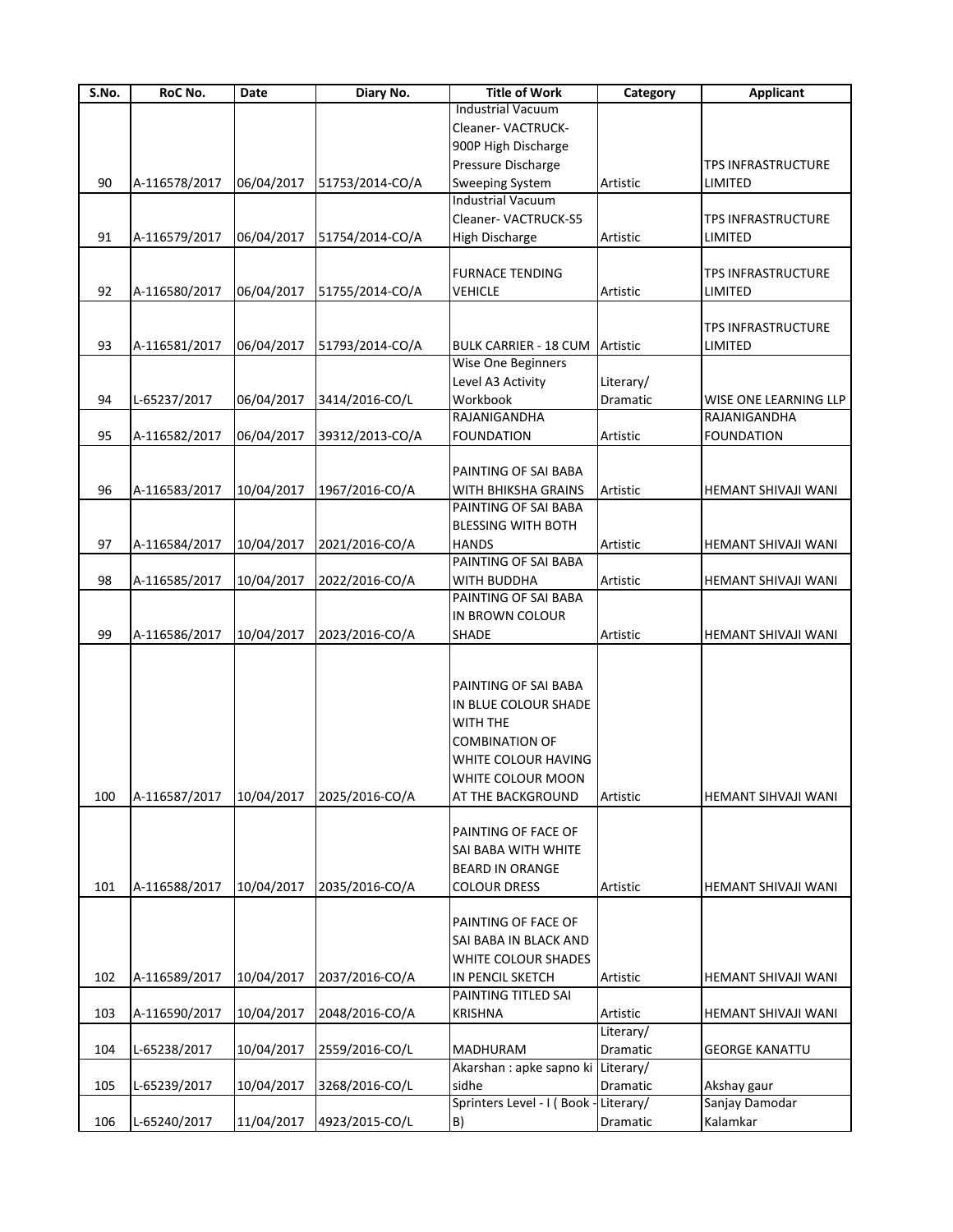| S.No. | RoC No.       | Date       | Diary No.       | <b>Title of Work</b>                  | Category  | <b>Applicant</b>          |
|-------|---------------|------------|-----------------|---------------------------------------|-----------|---------------------------|
|       |               |            |                 | <b>Industrial Vacuum</b>              |           |                           |
|       |               |            |                 | Cleaner-VACTRUCK-                     |           |                           |
|       |               |            |                 | 900P High Discharge                   |           |                           |
|       |               |            |                 | Pressure Discharge                    |           | <b>TPS INFRASTRUCTURE</b> |
| 90    | A-116578/2017 | 06/04/2017 | 51753/2014-CO/A | <b>Sweeping System</b>                | Artistic  | LIMITED                   |
|       |               |            |                 | <b>Industrial Vacuum</b>              |           |                           |
|       |               |            |                 | Cleaner-VACTRUCK-S5                   |           | TPS INFRASTRUCTURE        |
| 91    | A-116579/2017 | 06/04/2017 | 51754/2014-CO/A | <b>High Discharge</b>                 | Artistic  | LIMITED                   |
|       |               |            |                 |                                       |           |                           |
|       |               |            |                 | <b>FURNACE TENDING</b>                |           | <b>TPS INFRASTRUCTURE</b> |
| 92    | A-116580/2017 | 06/04/2017 | 51755/2014-CO/A | VEHICLE                               | Artistic  | LIMITED                   |
|       |               |            |                 |                                       |           |                           |
|       |               |            |                 |                                       |           | TPS INFRASTRUCTURE        |
| 93    | A-116581/2017 | 06/04/2017 | 51793/2014-CO/A | <b>BULK CARRIER - 18 CUM</b>          | Artistic  | LIMITED                   |
|       |               |            |                 | Wise One Beginners                    |           |                           |
|       |               |            |                 | Level A3 Activity                     | Literary/ |                           |
| 94    | L-65237/2017  | 06/04/2017 | 3414/2016-CO/L  | Workbook                              | Dramatic  | WISE ONE LEARNING LLP     |
|       |               |            |                 | RAJANIGANDHA                          |           | RAJANIGANDHA              |
| 95    | A-116582/2017 | 06/04/2017 | 39312/2013-CO/A | <b>FOUNDATION</b>                     | Artistic  | <b>FOUNDATION</b>         |
|       |               |            |                 |                                       |           |                           |
|       |               |            |                 | PAINTING OF SAI BABA                  |           |                           |
| 96    | A-116583/2017 | 10/04/2017 | 1967/2016-CO/A  | WITH BHIKSHA GRAINS                   | Artistic  | HEMANT SHIVAJI WANI       |
|       |               |            |                 | PAINTING OF SAI BABA                  |           |                           |
|       |               |            |                 | <b>BLESSING WITH BOTH</b>             |           |                           |
| 97    | A-116584/2017 | 10/04/2017 | 2021/2016-CO/A  | <b>HANDS</b>                          | Artistic  | HEMANT SHIVAJI WANI       |
|       |               |            |                 | PAINTING OF SAI BABA                  |           |                           |
| 98    | A-116585/2017 | 10/04/2017 | 2022/2016-CO/A  | <b>WITH BUDDHA</b>                    | Artistic  | HEMANT SHIVAJI WANI       |
|       |               |            |                 | PAINTING OF SAI BABA                  |           |                           |
|       |               |            |                 | IN BROWN COLOUR                       |           |                           |
| 99    | A-116586/2017 | 10/04/2017 | 2023/2016-CO/A  | <b>SHADE</b>                          | Artistic  | HEMANT SHIVAJI WANI       |
|       |               |            |                 |                                       |           |                           |
|       |               |            |                 |                                       |           |                           |
|       |               |            |                 | PAINTING OF SAI BABA                  |           |                           |
|       |               |            |                 | IN BLUE COLOUR SHADE                  |           |                           |
|       |               |            |                 | WITH THE                              |           |                           |
|       |               |            |                 | <b>COMBINATION OF</b>                 |           |                           |
|       |               |            |                 | WHITE COLOUR HAVING                   |           |                           |
|       |               |            |                 | WHITE COLOUR MOON                     |           |                           |
| 100   |               |            |                 |                                       |           | HEMANT SIHVAJI WANI       |
|       | A-116587/2017 | 10/04/2017 | 2025/2016-CO/A  | AT THE BACKGROUND                     | Artistic  |                           |
|       |               |            |                 |                                       |           |                           |
|       |               |            |                 | PAINTING OF FACE OF                   |           |                           |
|       |               |            |                 | SAI BABA WITH WHITE                   |           |                           |
|       |               |            |                 | <b>BEARD IN ORANGE</b>                |           |                           |
| 101   | A-116588/2017 | 10/04/2017 | 2035/2016-CO/A  | <b>COLOUR DRESS</b>                   | Artistic  | HEMANT SHIVAJI WANI       |
|       |               |            |                 |                                       |           |                           |
|       |               |            |                 | PAINTING OF FACE OF                   |           |                           |
|       |               |            |                 | SAI BABA IN BLACK AND                 |           |                           |
|       |               |            |                 | WHITE COLOUR SHADES                   |           |                           |
| 102   | A-116589/2017 | 10/04/2017 | 2037/2016-CO/A  | IN PENCIL SKETCH                      | Artistic  | HEMANT SHIVAJI WANI       |
|       |               |            |                 | PAINTING TITLED SAI                   |           |                           |
| 103   | A-116590/2017 | 10/04/2017 | 2048/2016-CO/A  | <b>KRISHNA</b>                        | Artistic  | HEMANT SHIVAJI WANI       |
|       |               |            |                 |                                       | Literary/ |                           |
| 104   | L-65238/2017  | 10/04/2017 | 2559/2016-CO/L  | <b>MADHURAM</b>                       | Dramatic  | <b>GEORGE KANATTU</b>     |
|       |               |            |                 | Akarshan: apke sapno ki Literary/     |           |                           |
| 105   | L-65239/2017  | 10/04/2017 | 3268/2016-CO/L  | sidhe                                 | Dramatic  | Akshay gaur               |
|       |               |            |                 | Sprinters Level - I (Book - Literary/ |           | Sanjay Damodar            |
| 106   | L-65240/2017  | 11/04/2017 | 4923/2015-CO/L  | B)                                    | Dramatic  | Kalamkar                  |
|       |               |            |                 |                                       |           |                           |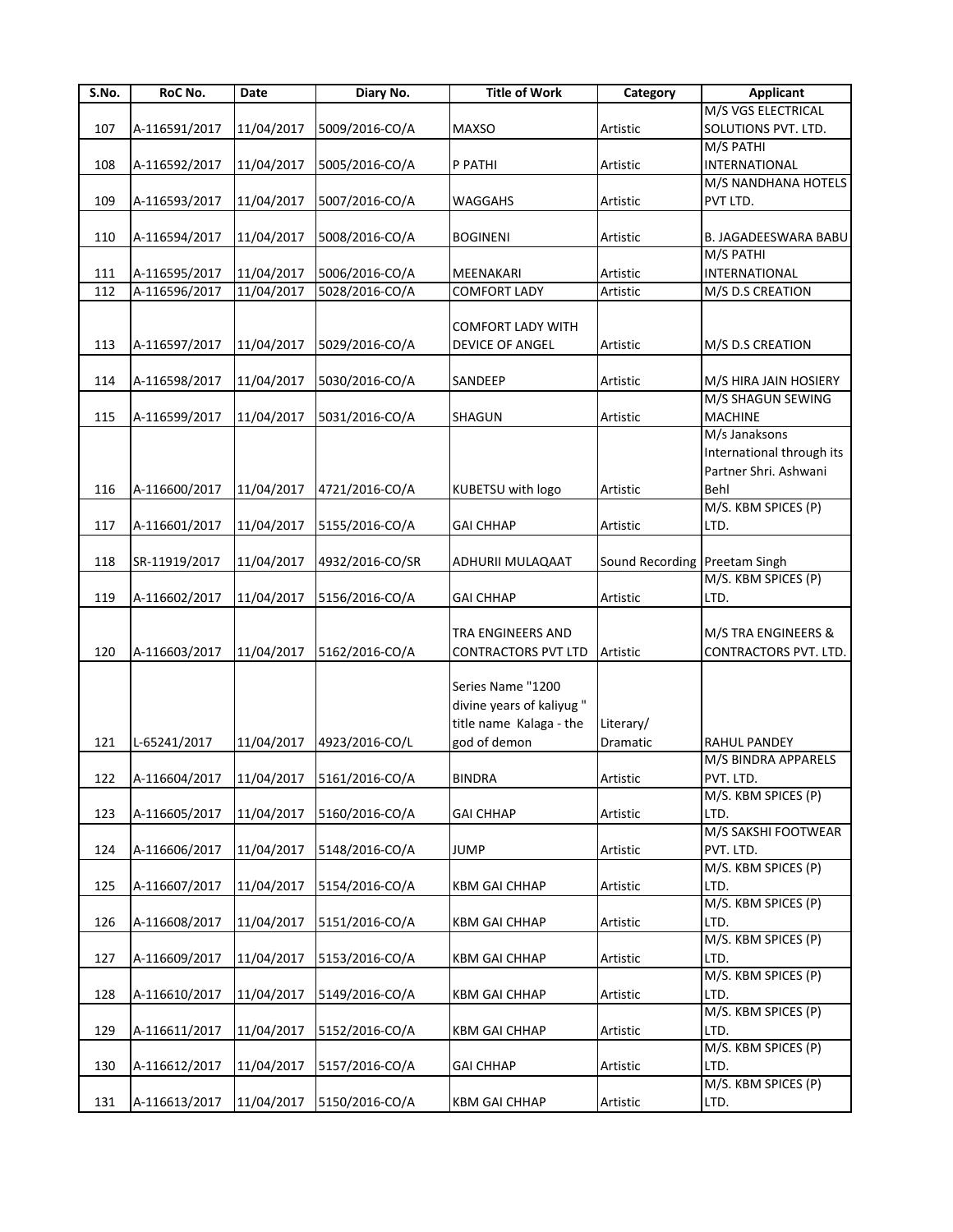| S.No. | RoC No.       | Date       | Diary No.                               | <b>Title of Work</b>     | Category                      | <b>Applicant</b>          |
|-------|---------------|------------|-----------------------------------------|--------------------------|-------------------------------|---------------------------|
|       |               |            |                                         |                          |                               | M/S VGS ELECTRICAL        |
| 107   | A-116591/2017 | 11/04/2017 | 5009/2016-CO/A                          | <b>MAXSO</b>             | Artistic                      | SOLUTIONS PVT. LTD.       |
|       |               |            |                                         |                          |                               | M/S PATHI                 |
| 108   | A-116592/2017 | 11/04/2017 | 5005/2016-CO/A                          | P PATHI                  | Artistic                      | INTERNATIONAL             |
|       |               |            |                                         |                          |                               | M/S NANDHANA HOTELS       |
| 109   | A-116593/2017 | 11/04/2017 | 5007/2016-CO/A                          | <b>WAGGAHS</b>           | Artistic                      | PVT LTD.                  |
|       |               |            |                                         |                          |                               |                           |
|       |               |            |                                         |                          |                               |                           |
| 110   | A-116594/2017 | 11/04/2017 | 5008/2016-CO/A                          | <b>BOGINENI</b>          | Artistic                      | B. JAGADEESWARA BABU      |
|       |               |            |                                         |                          |                               | M/S PATHI                 |
| 111   | A-116595/2017 | 11/04/2017 | 5006/2016-CO/A                          | MEENAKARI                | Artistic                      | <b>INTERNATIONAL</b>      |
| 112   | A-116596/2017 | 11/04/2017 | 5028/2016-CO/A                          | <b>COMFORT LADY</b>      | Artistic                      | M/S D.S CREATION          |
|       |               |            |                                         |                          |                               |                           |
|       |               |            |                                         | <b>COMFORT LADY WITH</b> |                               |                           |
| 113   | A-116597/2017 | 11/04/2017 | 5029/2016-CO/A                          | DEVICE OF ANGEL          | Artistic                      | M/S D.S CREATION          |
|       |               |            |                                         |                          |                               |                           |
| 114   | A-116598/2017 | 11/04/2017 | 5030/2016-CO/A                          | SANDEEP                  | Artistic                      | M/S HIRA JAIN HOSIERY     |
|       |               |            |                                         |                          |                               | M/S SHAGUN SEWING         |
|       |               |            |                                         |                          |                               |                           |
| 115   | A-116599/2017 | 11/04/2017 | 5031/2016-CO/A                          | SHAGUN                   | Artistic                      | <b>MACHINE</b>            |
|       |               |            |                                         |                          |                               | M/s Janaksons             |
|       |               |            |                                         |                          |                               | International through its |
|       |               |            |                                         |                          |                               | Partner Shri. Ashwani     |
| 116   | A-116600/2017 | 11/04/2017 | 4721/2016-CO/A                          | KUBETSU with logo        | Artistic                      | Behl                      |
|       |               |            |                                         |                          |                               | M/S. KBM SPICES (P)       |
| 117   | A-116601/2017 | 11/04/2017 | 5155/2016-CO/A                          | <b>GAI CHHAP</b>         | Artistic                      | LTD.                      |
|       |               |            |                                         |                          |                               |                           |
|       |               |            |                                         |                          |                               |                           |
| 118   | SR-11919/2017 | 11/04/2017 | 4932/2016-CO/SR                         | ADHURII MULAQAAT         | Sound Recording Preetam Singh |                           |
|       |               |            |                                         |                          |                               | M/S. KBM SPICES (P)       |
| 119   | A-116602/2017 | 11/04/2017 | 5156/2016-CO/A                          | <b>GAI CHHAP</b>         | Artistic                      | LTD.                      |
|       |               |            |                                         |                          |                               |                           |
|       |               |            |                                         | TRA ENGINEERS AND        |                               | M/S TRA ENGINEERS &       |
| 120   | A-116603/2017 | 11/04/2017 | 5162/2016-CO/A                          | CONTRACTORS PVT LTD      | Artistic                      | CONTRACTORS PVT. LTD.     |
|       |               |            |                                         |                          |                               |                           |
|       |               |            |                                         | Series Name "1200        |                               |                           |
|       |               |            |                                         | divine years of kaliyug" |                               |                           |
|       |               |            |                                         | title name Kalaga - the  |                               |                           |
|       |               |            |                                         |                          | Literary/                     |                           |
| 121   | L-65241/2017  | 11/04/2017 | 4923/2016-CO/L                          | god of demon             | Dramatic                      | <b>RAHUL PANDEY</b>       |
|       |               |            |                                         |                          |                               | M/S BINDRA APPARELS       |
| 122   |               |            | A-116604/2017 11/04/2017 5161/2016-CO/A | <b>BINDRA</b>            | Artistic                      | PVT. LTD.                 |
|       |               |            |                                         |                          |                               | M/S. KBM SPICES (P)       |
| 123   | A-116605/2017 | 11/04/2017 | 5160/2016-CO/A                          | <b>GAI CHHAP</b>         | Artistic                      | LTD.                      |
|       |               |            |                                         |                          |                               | M/S SAKSHI FOOTWEAR       |
| 124   | A-116606/2017 | 11/04/2017 | 5148/2016-CO/A                          | JUMP                     | Artistic                      | PVT. LTD.                 |
|       |               |            |                                         |                          |                               | M/S. KBM SPICES (P)       |
|       |               |            |                                         |                          |                               |                           |
| 125   | A-116607/2017 | 11/04/2017 | 5154/2016-CO/A                          | <b>KBM GAI CHHAP</b>     | Artistic                      | LTD.                      |
|       |               |            |                                         |                          |                               | M/S. KBM SPICES (P)       |
| 126   | A-116608/2017 | 11/04/2017 | 5151/2016-CO/A                          | <b>KBM GAI CHHAP</b>     | Artistic                      | LTD.                      |
|       |               |            |                                         |                          |                               | M/S. KBM SPICES (P)       |
| 127   | A-116609/2017 | 11/04/2017 | 5153/2016-CO/A                          | <b>KBM GAI CHHAP</b>     | Artistic                      | LTD.                      |
|       |               |            |                                         |                          |                               | M/S. KBM SPICES (P)       |
| 128   | A-116610/2017 | 11/04/2017 | 5149/2016-CO/A                          | <b>KBM GAI CHHAP</b>     | Artistic                      | LTD.                      |
|       |               |            |                                         |                          |                               | M/S. KBM SPICES (P)       |
| 129   | A-116611/2017 | 11/04/2017 | 5152/2016-CO/A                          | <b>KBM GAI CHHAP</b>     | Artistic                      | LTD.                      |
|       |               |            |                                         |                          |                               | M/S. KBM SPICES (P)       |
|       |               |            |                                         |                          |                               |                           |
| 130   | A-116612/2017 | 11/04/2017 | 5157/2016-CO/A                          | <b>GAI CHHAP</b>         | Artistic                      | LTD.                      |
|       |               |            |                                         |                          |                               | M/S. KBM SPICES (P)       |
| 131   | A-116613/2017 | 11/04/2017 | 5150/2016-CO/A                          | <b>KBM GAI CHHAP</b>     | Artistic                      | LTD.                      |
|       |               |            |                                         |                          |                               |                           |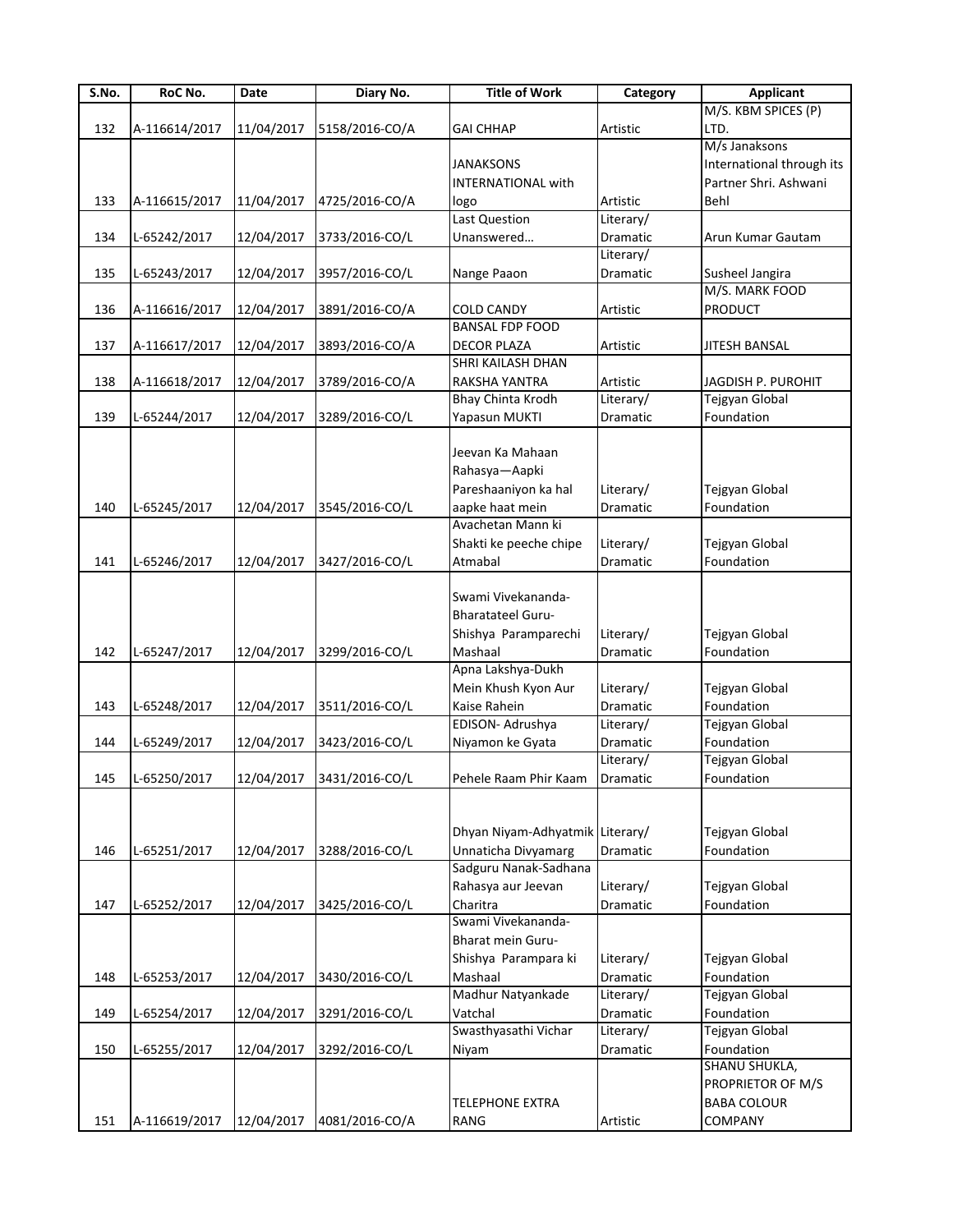| S.No. | RoC No.       | <b>Date</b> | Diary No.                 | <b>Title of Work</b>            | Category  | <b>Applicant</b>          |
|-------|---------------|-------------|---------------------------|---------------------------------|-----------|---------------------------|
|       |               |             |                           |                                 |           | M/S. KBM SPICES (P)       |
| 132   | A-116614/2017 | 11/04/2017  | 5158/2016-CO/A            | <b>GAI CHHAP</b>                | Artistic  | LTD.                      |
|       |               |             |                           |                                 |           | M/s Janaksons             |
|       |               |             |                           | JANAKSONS                       |           | International through its |
|       |               |             |                           | <b>INTERNATIONAL with</b>       |           | Partner Shri. Ashwani     |
| 133   | A-116615/2017 | 11/04/2017  | 4725/2016-CO/A            | logo                            | Artistic  | Behl                      |
|       |               |             |                           | <b>Last Question</b>            | Literary/ |                           |
| 134   | L-65242/2017  | 12/04/2017  | 3733/2016-CO/L            | Unanswered                      | Dramatic  | Arun Kumar Gautam         |
|       |               |             |                           |                                 | Literary/ |                           |
| 135   | L-65243/2017  | 12/04/2017  | 3957/2016-CO/L            | Nange Paaon                     | Dramatic  | Susheel Jangira           |
|       |               |             |                           |                                 |           | M/S. MARK FOOD            |
| 136   | A-116616/2017 | 12/04/2017  | 3891/2016-CO/A            | COLD CANDY                      | Artistic  | PRODUCT                   |
|       |               |             |                           | <b>BANSAL FDP FOOD</b>          |           |                           |
| 137   | A-116617/2017 | 12/04/2017  | 3893/2016-CO/A            | <b>DECOR PLAZA</b>              | Artistic  | JITESH BANSAL             |
|       |               |             |                           | SHRI KAILASH DHAN               |           |                           |
| 138   | A-116618/2017 | 12/04/2017  | 3789/2016-CO/A            | RAKSHA YANTRA                   | Artistic  | JAGDISH P. PUROHIT        |
|       |               |             |                           | <b>Bhay Chinta Krodh</b>        | Literary/ | Tejgyan Global            |
| 139   | L-65244/2017  | 12/04/2017  | 3289/2016-CO/L            | Yapasun MUKTI                   | Dramatic  | Foundation                |
|       |               |             |                           |                                 |           |                           |
|       |               |             |                           | Jeevan Ka Mahaan                |           |                           |
|       |               |             |                           | Rahasya-Aapki                   |           |                           |
|       |               |             |                           | Pareshaaniyon ka hal            | Literary/ | Tejgyan Global            |
| 140   | L-65245/2017  | 12/04/2017  | 3545/2016-CO/L            | aapke haat mein                 | Dramatic  | Foundation                |
|       |               |             |                           | Avachetan Mann ki               |           |                           |
|       |               |             |                           | Shakti ke peeche chipe          | Literary/ | Tejgyan Global            |
| 141   | L-65246/2017  | 12/04/2017  | 3427/2016-CO/L            | Atmabal                         | Dramatic  | Foundation                |
|       |               |             |                           |                                 |           |                           |
|       |               |             |                           | Swami Vivekananda-              |           |                           |
|       |               |             |                           | <b>Bharatateel Guru-</b>        |           |                           |
|       |               |             |                           | Shishya Paramparechi            | Literary/ | Tejgyan Global            |
| 142   |               |             |                           |                                 |           |                           |
|       | L-65247/2017  | 12/04/2017  | 3299/2016-CO/L            | Mashaal<br>Apna Lakshya-Dukh    | Dramatic  | Foundation                |
|       |               |             |                           |                                 |           |                           |
|       |               |             |                           | Mein Khush Kyon Aur             | Literary/ | Tejgyan Global            |
| 143   | L-65248/2017  | 12/04/2017  | 3511/2016-CO/L            | Kaise Rahein                    | Dramatic  | Foundation                |
|       |               |             |                           | EDISON- Adrushya                | Literary/ | Tejgyan Global            |
| 144   | L-65249/2017  | 12/04/2017  | 3423/2016-CO/L            | Niyamon ke Gyata                | Dramatic  | Foundation                |
|       |               |             |                           |                                 | Literary/ | Tejgyan Global            |
| 145   | L-65250/2017  |             | 12/04/2017 3431/2016-CO/L | lPehele Raam Phir Kaam          | Dramatic  | Foundation                |
|       |               |             |                           |                                 |           |                           |
|       |               |             |                           |                                 |           |                           |
|       |               |             |                           | Dhyan Niyam-Adhyatmik Literary/ |           | Tejgyan Global            |
| 146   | L-65251/2017  | 12/04/2017  | 3288/2016-CO/L            | Unnaticha Divyamarg             | Dramatic  | Foundation                |
|       |               |             |                           | Sadguru Nanak-Sadhana           |           |                           |
|       |               |             |                           | Rahasya aur Jeevan              | Literary/ | Tejgyan Global            |
| 147   | L-65252/2017  | 12/04/2017  | 3425/2016-CO/L            | Charitra                        | Dramatic  | Foundation                |
|       |               |             |                           | Swami Vivekananda-              |           |                           |
|       |               |             |                           | <b>Bharat mein Guru-</b>        |           |                           |
|       |               |             |                           | Shishya Parampara ki            | Literary/ | Tejgyan Global            |
| 148   | L-65253/2017  | 12/04/2017  | 3430/2016-CO/L            | Mashaal                         | Dramatic  | Foundation                |
|       |               |             |                           | Madhur Natyankade               | Literary/ | Tejgyan Global            |
| 149   | L-65254/2017  | 12/04/2017  | 3291/2016-CO/L            | Vatchal                         | Dramatic  | Foundation                |
|       |               |             |                           | Swasthyasathi Vichar            | Literary/ | Tejgyan Global            |
| 150   | L-65255/2017  | 12/04/2017  | 3292/2016-CO/L            | Niyam                           | Dramatic  | Foundation                |
|       |               |             |                           |                                 |           | SHANU SHUKLA,             |
|       |               |             |                           |                                 |           | PROPRIETOR OF M/S         |
|       |               |             |                           | <b>TELEPHONE EXTRA</b>          |           | <b>BABA COLOUR</b>        |
| 151   | A-116619/2017 | 12/04/2017  | 4081/2016-CO/A            | RANG                            | Artistic  | COMPANY                   |
|       |               |             |                           |                                 |           |                           |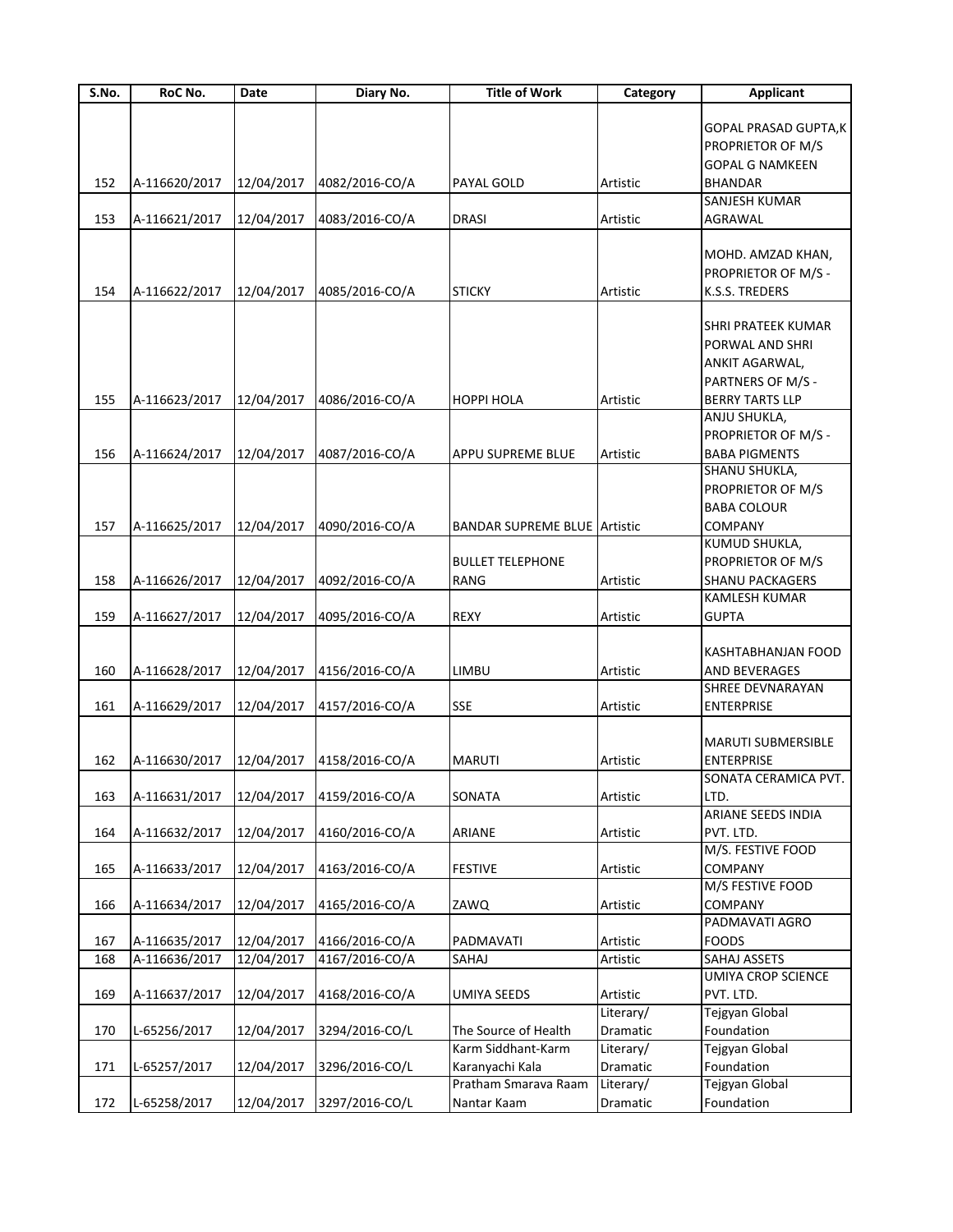| S.No. | RoC No.       | Date       | Diary No.      | <b>Title of Work</b>                | Category  | <b>Applicant</b>               |
|-------|---------------|------------|----------------|-------------------------------------|-----------|--------------------------------|
|       |               |            |                |                                     |           |                                |
|       |               |            |                |                                     |           | GOPAL PRASAD GUPTA,K           |
|       |               |            |                |                                     |           | PROPRIETOR OF M/S              |
|       |               |            |                |                                     |           | <b>GOPAL G NAMKEEN</b>         |
| 152   | A-116620/2017 | 12/04/2017 | 4082/2016-CO/A | PAYAL GOLD                          | Artistic  | <b>BHANDAR</b>                 |
|       |               |            |                |                                     |           | SANJESH KUMAR                  |
| 153   | A-116621/2017 | 12/04/2017 | 4083/2016-CO/A | <b>DRASI</b>                        | Artistic  | AGRAWAL                        |
|       |               |            |                |                                     |           |                                |
|       |               |            |                |                                     |           | MOHD. AMZAD KHAN,              |
|       |               |            |                |                                     |           | PROPRIETOR OF M/S -            |
| 154   | A-116622/2017 | 12/04/2017 | 4085/2016-CO/A | <b>STICKY</b>                       | Artistic  | K.S.S. TREDERS                 |
|       |               |            |                |                                     |           |                                |
|       |               |            |                |                                     |           | SHRI PRATEEK KUMAR             |
|       |               |            |                |                                     |           | PORWAL AND SHRI                |
|       |               |            |                |                                     |           | ANKIT AGARWAL,                 |
|       |               |            |                |                                     |           | PARTNERS OF M/S -              |
| 155   | A-116623/2017 | 12/04/2017 | 4086/2016-CO/A | <b>HOPPI HOLA</b>                   | Artistic  | <b>BERRY TARTS LLP</b>         |
|       |               |            |                |                                     |           | ANJU SHUKLA,                   |
|       |               |            |                |                                     |           | PROPRIETOR OF M/S -            |
|       |               |            |                |                                     |           |                                |
| 156   | A-116624/2017 | 12/04/2017 | 4087/2016-CO/A | APPU SUPREME BLUE                   | Artistic  | <b>BABA PIGMENTS</b>           |
|       |               |            |                |                                     |           | SHANU SHUKLA,                  |
|       |               |            |                |                                     |           | PROPRIETOR OF M/S              |
|       |               |            |                |                                     |           | <b>BABA COLOUR</b>             |
| 157   | A-116625/2017 | 12/04/2017 | 4090/2016-CO/A | <b>BANDAR SUPREME BLUE Artistic</b> |           | <b>COMPANY</b>                 |
|       |               |            |                |                                     |           | KUMUD SHUKLA,                  |
|       |               |            |                | <b>BULLET TELEPHONE</b>             |           | PROPRIETOR OF M/S              |
| 158   | A-116626/2017 | 12/04/2017 | 4092/2016-CO/A | RANG                                | Artistic  | <b>SHANU PACKAGERS</b>         |
|       |               |            |                |                                     |           | KAMLESH KUMAR                  |
| 159   | A-116627/2017 | 12/04/2017 | 4095/2016-CO/A | <b>REXY</b>                         | Artistic  | <b>GUPTA</b>                   |
|       |               |            |                |                                     |           |                                |
|       |               |            |                |                                     |           | KASHTABHANJAN FOOD             |
| 160   | A-116628/2017 | 12/04/2017 | 4156/2016-CO/A | <b>LIMBU</b>                        | Artistic  | AND BEVERAGES                  |
|       |               |            |                |                                     |           | SHREE DEVNARAYAN               |
| 161   | A-116629/2017 | 12/04/2017 | 4157/2016-CO/A | <b>SSE</b>                          | Artistic  | <b>ENTERPRISE</b>              |
|       |               |            |                |                                     |           |                                |
|       |               |            |                |                                     |           | <b>MARUTI SUBMERSIBLE</b>      |
| 162   | A-116630/2017 | 12/04/2017 | 4158/2016-CO/A | <b>MARUTI</b>                       | Artistic  | <b>ENTERPRISE</b>              |
|       |               |            |                |                                     |           | SONATA CERAMICA PVT.           |
| 163   | A-116631/2017 | 12/04/2017 | 4159/2016-CO/A | SONATA                              | Artistic  | LTD.                           |
|       |               |            |                |                                     |           | ARIANE SEEDS INDIA             |
|       |               |            |                |                                     |           |                                |
| 164   | A-116632/2017 | 12/04/2017 | 4160/2016-CO/A | <b>ARIANE</b>                       | Artistic  | PVT. LTD.<br>M/S. FESTIVE FOOD |
|       |               |            |                |                                     |           |                                |
| 165   | A-116633/2017 | 12/04/2017 | 4163/2016-CO/A | <b>FESTIVE</b>                      | Artistic  | COMPANY                        |
|       |               |            |                |                                     |           | M/S FESTIVE FOOD               |
| 166   | A-116634/2017 | 12/04/2017 | 4165/2016-CO/A | ZAWQ                                | Artistic  | COMPANY                        |
|       |               |            |                |                                     |           | PADMAVATI AGRO                 |
| 167   | A-116635/2017 | 12/04/2017 | 4166/2016-CO/A | PADMAVATI                           | Artistic  | <b>FOODS</b>                   |
| 168   | A-116636/2017 | 12/04/2017 | 4167/2016-CO/A | SAHAJ                               | Artistic  | SAHAJ ASSETS                   |
|       |               |            |                |                                     |           | UMIYA CROP SCIENCE             |
| 169   | A-116637/2017 | 12/04/2017 | 4168/2016-CO/A | UMIYA SEEDS                         | Artistic  | PVT. LTD.                      |
|       |               |            |                |                                     | Literary/ | Tejgyan Global                 |
| 170   | L-65256/2017  | 12/04/2017 | 3294/2016-CO/L | The Source of Health                | Dramatic  | Foundation                     |
|       |               |            |                | Karm Siddhant-Karm                  | Literary/ | Tejgyan Global                 |
| 171   | L-65257/2017  | 12/04/2017 | 3296/2016-CO/L | Karanyachi Kala                     | Dramatic  | Foundation                     |
|       |               |            |                | Pratham Smarava Raam                | Literary/ | Tejgyan Global                 |
| 172   | L-65258/2017  | 12/04/2017 | 3297/2016-CO/L | Nantar Kaam                         | Dramatic  | Foundation                     |
|       |               |            |                |                                     |           |                                |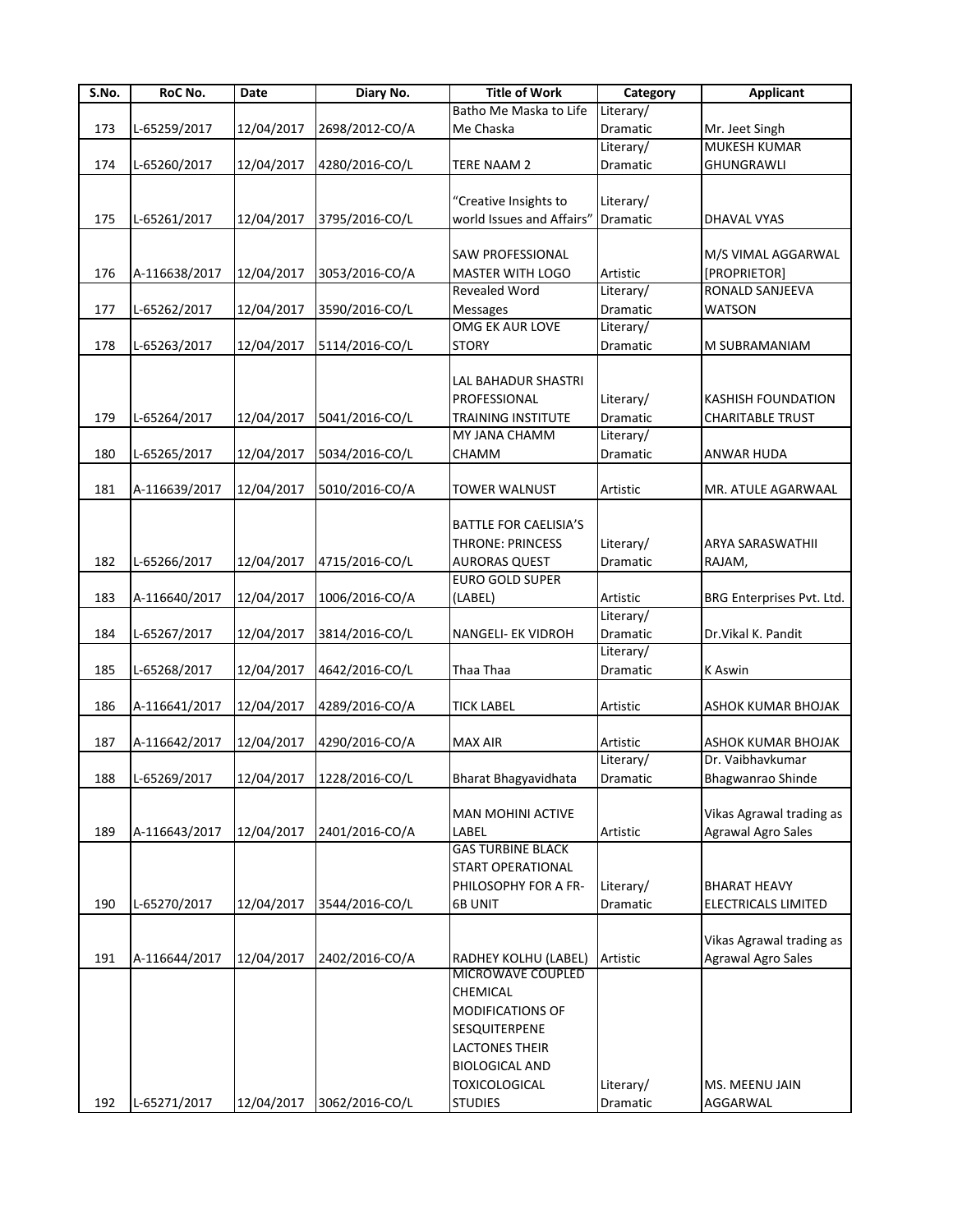| S.No. | RoC No.       | Date       | Diary No.                 | <b>Title of Work</b>         | Category  | <b>Applicant</b>          |
|-------|---------------|------------|---------------------------|------------------------------|-----------|---------------------------|
|       |               |            |                           | Batho Me Maska to Life       | Literary/ |                           |
| 173   | L-65259/2017  | 12/04/2017 | 2698/2012-CO/A            | Me Chaska                    | Dramatic  | Mr. Jeet Singh            |
|       |               |            |                           |                              | Literary/ | MUKESH KUMAR              |
| 174   | L-65260/2017  | 12/04/2017 | 4280/2016-CO/L            | TERE NAAM 2                  | Dramatic  | GHUNGRAWLI                |
|       |               |            |                           |                              |           |                           |
|       |               |            |                           | "Creative Insights to        | Literary/ |                           |
| 175   | L-65261/2017  | 12/04/2017 | 3795/2016-CO/L            | world Issues and Affairs"    | Dramatic  | DHAVAL VYAS               |
|       |               |            |                           |                              |           |                           |
|       |               |            |                           | SAW PROFESSIONAL             |           | M/S VIMAL AGGARWAL        |
| 176   | A-116638/2017 | 12/04/2017 | 3053/2016-CO/A            | MASTER WITH LOGO             | Artistic  | [PROPRIETOR]              |
|       |               |            |                           | <b>Revealed Word</b>         | Literary/ | RONALD SANJEEVA           |
| 177   | L-65262/2017  | 12/04/2017 | 3590/2016-CO/L            | Messages                     | Dramatic  | <b>WATSON</b>             |
|       |               |            |                           | OMG EK AUR LOVE              | Literary/ |                           |
| 178   | L-65263/2017  | 12/04/2017 | 5114/2016-CO/L            | <b>STORY</b>                 | Dramatic  | M SUBRAMANIAM             |
|       |               |            |                           |                              |           |                           |
|       |               |            |                           | LAL BAHADUR SHASTRI          |           |                           |
|       |               |            |                           | PROFESSIONAL                 | Literary/ | <b>KASHISH FOUNDATION</b> |
| 179   | L-65264/2017  | 12/04/2017 | 5041/2016-CO/L            | TRAINING INSTITUTE           | Dramatic  | <b>CHARITABLE TRUST</b>   |
|       |               |            |                           | MY JANA CHAMM                | Literary/ |                           |
| 180   | L-65265/2017  | 12/04/2017 | 5034/2016-CO/L            | CHAMM                        | Dramatic  | ANWAR HUDA                |
|       |               |            |                           |                              |           |                           |
| 181   | A-116639/2017 | 12/04/2017 | 5010/2016-CO/A            | TOWER WALNUST                | Artistic  | MR. ATULE AGARWAAL        |
|       |               |            |                           |                              |           |                           |
|       |               |            |                           | <b>BATTLE FOR CAELISIA'S</b> |           |                           |
|       |               |            |                           | THRONE: PRINCESS             | Literary/ | ARYA SARASWATHII          |
| 182   | L-65266/2017  | 12/04/2017 | 4715/2016-CO/L            | <b>AURORAS QUEST</b>         | Dramatic  | RAJAM,                    |
|       |               |            |                           | <b>EURO GOLD SUPER</b>       |           |                           |
| 183   | A-116640/2017 | 12/04/2017 | 1006/2016-CO/A            | (LABEL)                      | Artistic  | BRG Enterprises Pvt. Ltd. |
|       |               |            |                           |                              | Literary/ |                           |
| 184   | L-65267/2017  | 12/04/2017 | 3814/2016-CO/L            | NANGELI- EK VIDROH           | Dramatic  | Dr. Vikal K. Pandit       |
|       |               |            |                           |                              | Literary/ |                           |
| 185   | L-65268/2017  | 12/04/2017 | 4642/2016-CO/L            | Thaa Thaa                    | Dramatic  | K Aswin                   |
|       |               |            |                           |                              |           |                           |
| 186   | A-116641/2017 | 12/04/2017 | 4289/2016-CO/A            | <b>TICK LABEL</b>            | Artistic  | ASHOK KUMAR BHOJAK        |
|       |               |            |                           |                              |           |                           |
| 187   | A-116642/2017 | 12/04/2017 | 4290/2016-CO/A            | <b>MAX AIR</b>               | Artistic  | ASHOK KUMAR BHOJAK        |
|       |               |            |                           |                              | Literary/ | Dr. Vaibhavkumar          |
| 188   | L-65269/2017  |            | 12/04/2017 1228/2016-CO/L | Bharat Bhagyavidhata         | Dramatic  | Bhagwanrao Shinde         |
|       |               |            |                           |                              |           |                           |
|       |               |            |                           | <b>MAN MOHINI ACTIVE</b>     |           | Vikas Agrawal trading as  |
| 189   | A-116643/2017 | 12/04/2017 | 2401/2016-CO/A            | LABEL                        | Artistic  | <b>Agrawal Agro Sales</b> |
|       |               |            |                           | <b>GAS TURBINE BLACK</b>     |           |                           |
|       |               |            |                           | START OPERATIONAL            |           |                           |
|       |               |            |                           | PHILOSOPHY FOR A FR-         | Literary/ | <b>BHARAT HEAVY</b>       |
| 190   | L-65270/2017  | 12/04/2017 | 3544/2016-CO/L            | <b>6B UNIT</b>               | Dramatic  | ELECTRICALS LIMITED       |
|       |               |            |                           |                              |           |                           |
|       |               |            |                           |                              |           | Vikas Agrawal trading as  |
| 191   | A-116644/2017 | 12/04/2017 | 2402/2016-CO/A            | RADHEY KOLHU (LABEL)         | Artistic  | <b>Agrawal Agro Sales</b> |
|       |               |            |                           | MICROWAVE COUPLED            |           |                           |
|       |               |            |                           | CHEMICAL                     |           |                           |
|       |               |            |                           | MODIFICATIONS OF             |           |                           |
|       |               |            |                           | SESQUITERPENE                |           |                           |
|       |               |            |                           | <b>LACTONES THEIR</b>        |           |                           |
|       |               |            |                           | <b>BIOLOGICAL AND</b>        |           |                           |
|       |               |            |                           | <b>TOXICOLOGICAL</b>         | Literary/ | MS. MEENU JAIN            |
| 192   | L-65271/2017  | 12/04/2017 | 3062/2016-CO/L            | <b>STUDIES</b>               | Dramatic  | AGGARWAL                  |
|       |               |            |                           |                              |           |                           |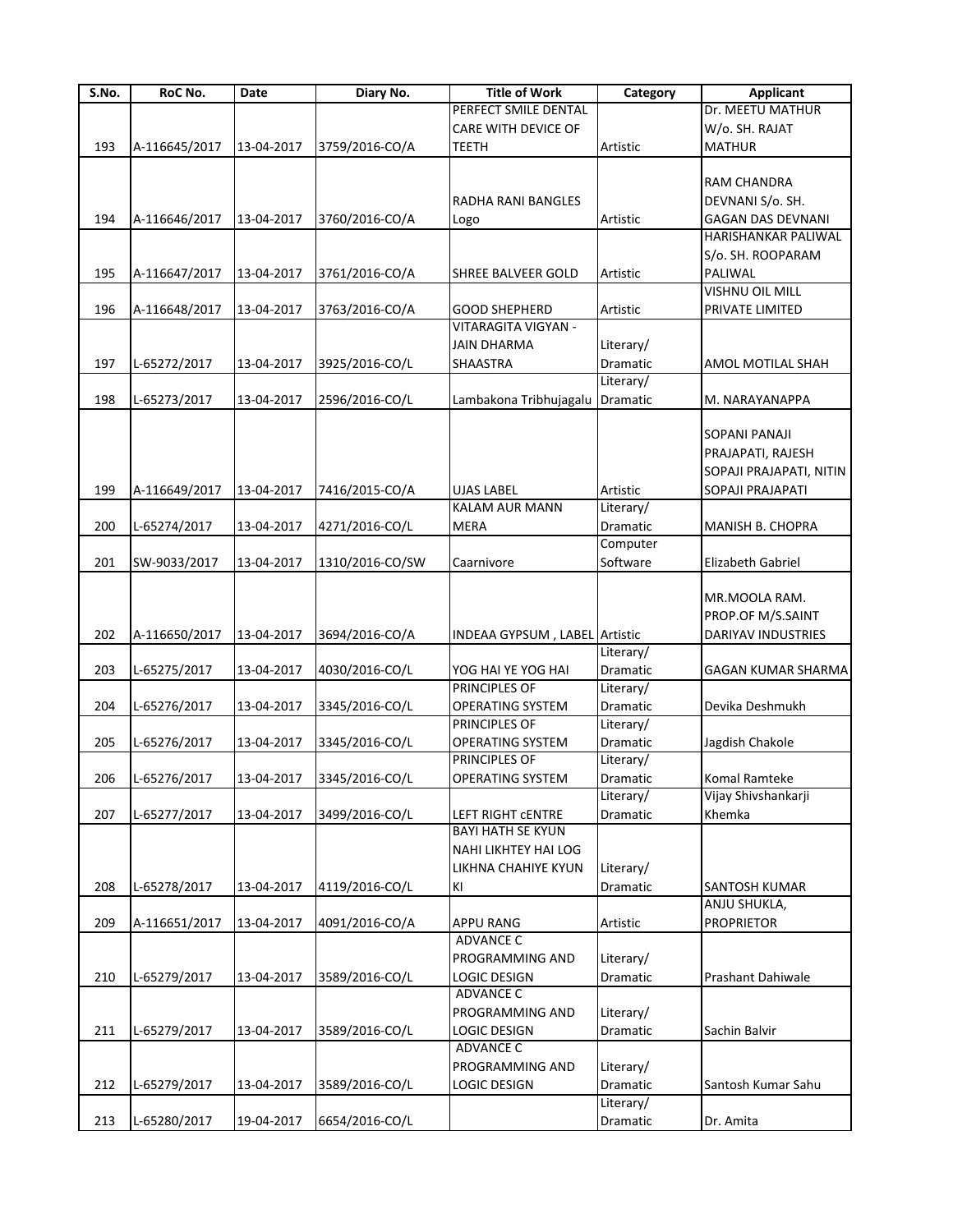| S.No. | RoC No.       | Date       | Diary No.       | <b>Title of Work</b>          | Category  | <b>Applicant</b>         |
|-------|---------------|------------|-----------------|-------------------------------|-----------|--------------------------|
|       |               |            |                 | PERFECT SMILE DENTAL          |           | Dr. MEETU MATHUR         |
|       |               |            |                 | CARE WITH DEVICE OF           |           | W/o. SH. RAJAT           |
| 193   | A-116645/2017 | 13-04-2017 | 3759/2016-CO/A  | <b>TEETH</b>                  | Artistic  | <b>MATHUR</b>            |
|       |               |            |                 |                               |           |                          |
|       |               |            |                 |                               |           | RAM CHANDRA              |
|       |               |            |                 | RADHA RANI BANGLES            |           | DEVNANI S/o. SH.         |
| 194   | A-116646/2017 | 13-04-2017 | 3760/2016-CO/A  |                               | Artistic  | <b>GAGAN DAS DEVNANI</b> |
|       |               |            |                 | Logo                          |           |                          |
|       |               |            |                 |                               |           | HARISHANKAR PALIWAL      |
|       |               |            |                 |                               |           | S/o. SH. ROOPARAM        |
| 195   | A-116647/2017 | 13-04-2017 | 3761/2016-CO/A  | <b>SHREE BALVEER GOLD</b>     | Artistic  | PALIWAL                  |
|       |               |            |                 |                               |           | <b>VISHNU OIL MILL</b>   |
| 196   | A-116648/2017 | 13-04-2017 | 3763/2016-CO/A  | <b>GOOD SHEPHERD</b>          | Artistic  | PRIVATE LIMITED          |
|       |               |            |                 | VITARAGITA VIGYAN -           |           |                          |
|       |               |            |                 | <b>JAIN DHARMA</b>            | Literary/ |                          |
| 197   | L-65272/2017  | 13-04-2017 | 3925/2016-CO/L  | <b>SHAASTRA</b>               | Dramatic  | AMOL MOTILAL SHAH        |
|       |               |            |                 |                               | Literary/ |                          |
| 198   | L-65273/2017  | 13-04-2017 | 2596/2016-CO/L  | Lambakona Tribhujagalu        | Dramatic  | M. NARAYANAPPA           |
|       |               |            |                 |                               |           |                          |
|       |               |            |                 |                               |           | <b>SOPANI PANAJI</b>     |
|       |               |            |                 |                               |           |                          |
|       |               |            |                 |                               |           | PRAJAPATI, RAJESH        |
|       |               |            |                 |                               |           | SOPAJI PRAJAPATI, NITIN  |
| 199   | A-116649/2017 | 13-04-2017 | 7416/2015-CO/A  | <b>UJAS LABEL</b>             | Artistic  | SOPAJI PRAJAPATI         |
|       |               |            |                 | <b>KALAM AUR MANN</b>         | Literary/ |                          |
| 200   | L-65274/2017  | 13-04-2017 | 4271/2016-CO/L  | <b>MERA</b>                   | Dramatic  | MANISH B. CHOPRA         |
|       |               |            |                 |                               | Computer  |                          |
| 201   | SW-9033/2017  | 13-04-2017 | 1310/2016-CO/SW | Caarnivore                    | Software  | Elizabeth Gabriel        |
|       |               |            |                 |                               |           |                          |
|       |               |            |                 |                               |           | MR.MOOLA RAM.            |
|       |               |            |                 |                               |           | PROP.OF M/S.SAINT        |
| 202   | A-116650/2017 | 13-04-2017 | 3694/2016-CO/A  | INDEAA GYPSUM, LABEL Artistic |           | DARIYAV INDUSTRIES       |
|       |               |            |                 |                               |           |                          |
|       |               |            |                 |                               | Literary/ |                          |
| 203   | L-65275/2017  | 13-04-2017 | 4030/2016-CO/L  | YOG HAI YE YOG HAI            | Dramatic  | GAGAN KUMAR SHARMA       |
|       |               |            |                 | PRINCIPLES OF                 | Literary/ |                          |
| 204   | L-65276/2017  | 13-04-2017 | 3345/2016-CO/L  | <b>OPERATING SYSTEM</b>       | Dramatic  | Devika Deshmukh          |
|       |               |            |                 | PRINCIPLES OF                 | Literary/ |                          |
| 205   | L-65276/2017  | 13-04-2017 | 3345/2016-CO/L  | OPERATING SYSTEM              | Dramatic  | Jagdish Chakole          |
|       |               |            |                 | PRINCIPLES OF                 | Literary/ |                          |
| 206   | L-65276/2017  | 13-04-2017 | 3345/2016-CO/L  | OPERATING SYSTEM              | Dramatic  | Komal Ramteke            |
|       |               |            |                 |                               | Literary/ | Vijay Shivshankarji      |
| 207   | L-65277/2017  | 13-04-2017 | 3499/2016-CO/L  | LEFT RIGHT CENTRE             | Dramatic  | Khemka                   |
|       |               |            |                 | <b>BAYI HATH SE KYUN</b>      |           |                          |
|       |               |            |                 | <b>NAHI LIKHTEY HAI LOG</b>   |           |                          |
|       |               |            |                 |                               |           |                          |
|       |               |            |                 | LIKHNA CHAHIYE KYUN           | Literary/ |                          |
| 208   | L-65278/2017  | 13-04-2017 | 4119/2016-CO/L  | KI                            | Dramatic  | <b>SANTOSH KUMAR</b>     |
|       |               |            |                 |                               |           | ANJU SHUKLA,             |
| 209   | A-116651/2017 | 13-04-2017 | 4091/2016-CO/A  | <b>APPU RANG</b>              | Artistic  | <b>PROPRIETOR</b>        |
|       |               |            |                 | <b>ADVANCE C</b>              |           |                          |
|       |               |            |                 | PROGRAMMING AND               | Literary/ |                          |
| 210   | L-65279/2017  | 13-04-2017 | 3589/2016-CO/L  | <b>LOGIC DESIGN</b>           | Dramatic  | <b>Prashant Dahiwale</b> |
|       |               |            |                 | <b>ADVANCE C</b>              |           |                          |
|       |               |            |                 | PROGRAMMING AND               | Literary/ |                          |
| 211   | L-65279/2017  | 13-04-2017 | 3589/2016-CO/L  | <b>LOGIC DESIGN</b>           | Dramatic  | Sachin Balvir            |
|       |               |            |                 |                               |           |                          |
|       |               |            |                 | <b>ADVANCE C</b>              |           |                          |
|       |               |            |                 | PROGRAMMING AND               | Literary/ |                          |
| 212   | L-65279/2017  | 13-04-2017 | 3589/2016-CO/L  | LOGIC DESIGN                  | Dramatic  | Santosh Kumar Sahu       |
|       |               |            |                 |                               | Literary/ |                          |
| 213   | L-65280/2017  | 19-04-2017 | 6654/2016-CO/L  |                               | Dramatic  | Dr. Amita                |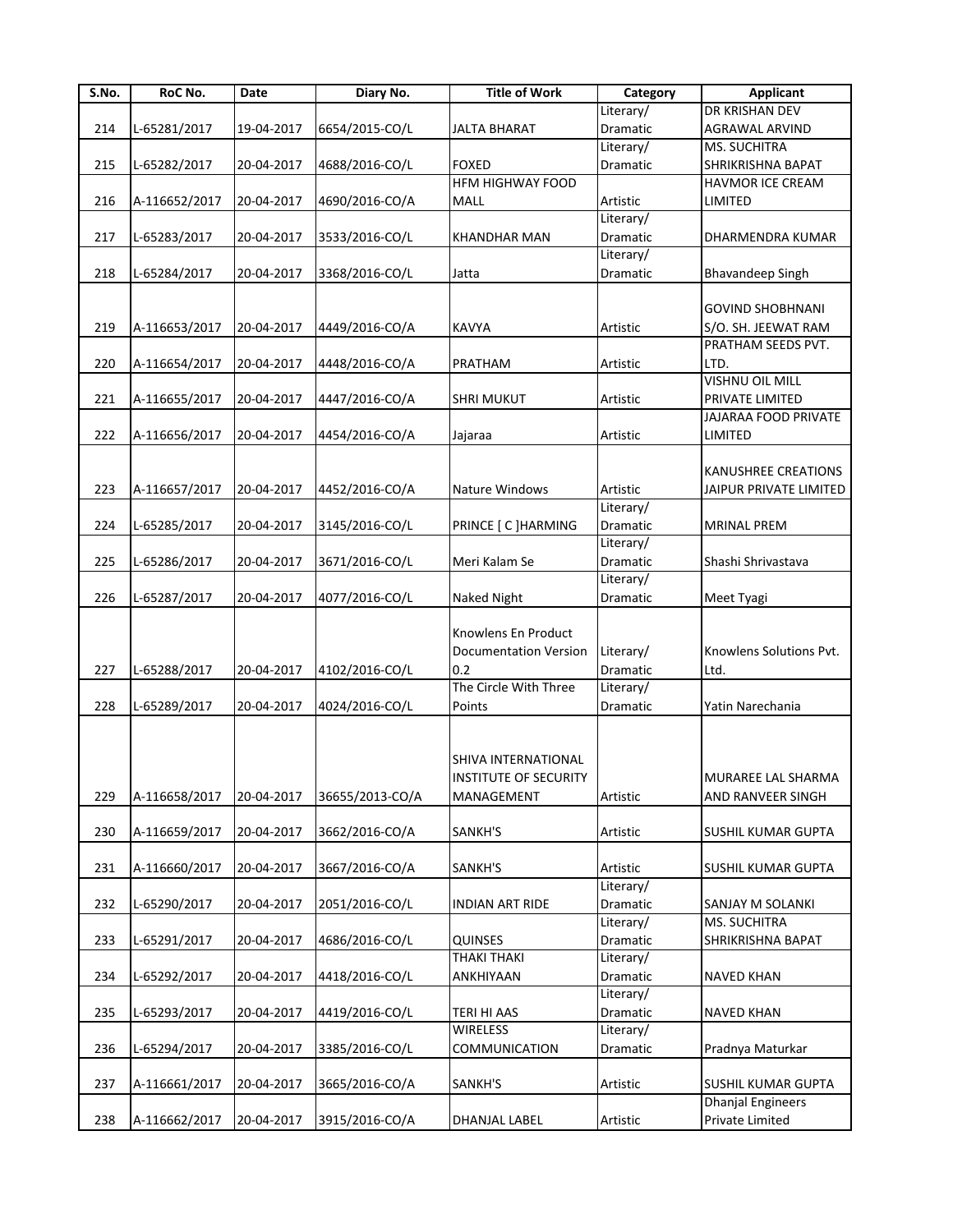| S.No. | RoC No.       | Date       | Diary No.       | <b>Title of Work</b>         | Category  | <b>Applicant</b>           |
|-------|---------------|------------|-----------------|------------------------------|-----------|----------------------------|
|       |               |            |                 |                              | Literary/ | DR KRISHAN DEV             |
| 214   | L-65281/2017  | 19-04-2017 | 6654/2015-CO/L  | <b>JALTA BHARAT</b>          | Dramatic  | AGRAWAL ARVIND             |
|       |               |            |                 |                              | Literary/ | MS. SUCHITRA               |
| 215   | L-65282/2017  | 20-04-2017 | 4688/2016-CO/L  | <b>FOXED</b>                 | Dramatic  | SHRIKRISHNA BAPAT          |
|       |               |            |                 | <b>HFM HIGHWAY FOOD</b>      |           | HAVMOR ICE CREAM           |
|       |               |            |                 |                              |           |                            |
| 216   | A-116652/2017 | 20-04-2017 | 4690/2016-CO/A  | MALL                         | Artistic  | LIMITED                    |
|       |               |            |                 |                              | Literary/ |                            |
| 217   | L-65283/2017  | 20-04-2017 | 3533/2016-CO/L  | <b>KHANDHAR MAN</b>          | Dramatic  | DHARMENDRA KUMAR           |
|       |               |            |                 |                              | Literary/ |                            |
| 218   | L-65284/2017  | 20-04-2017 | 3368/2016-CO/L  | Jatta                        | Dramatic  | <b>Bhavandeep Singh</b>    |
|       |               |            |                 |                              |           |                            |
|       |               |            |                 |                              |           | <b>GOVIND SHOBHNANI</b>    |
| 219   | A-116653/2017 | 20-04-2017 | 4449/2016-CO/A  | KAVYA                        | Artistic  | S/O. SH. JEEWAT RAM        |
|       |               |            |                 |                              |           | PRATHAM SEEDS PVT.         |
|       |               |            |                 |                              |           |                            |
| 220   | A-116654/2017 | 20-04-2017 | 4448/2016-CO/A  | PRATHAM                      | Artistic  | LTD.                       |
|       |               |            |                 |                              |           | <b>VISHNU OIL MILL</b>     |
| 221   | A-116655/2017 | 20-04-2017 | 4447/2016-CO/A  | <b>SHRI MUKUT</b>            | Artistic  | PRIVATE LIMITED            |
|       |               |            |                 |                              |           | JAJARAA FOOD PRIVATE       |
| 222   | A-116656/2017 | 20-04-2017 | 4454/2016-CO/A  | Jajaraa                      | Artistic  | LIMITED                    |
|       |               |            |                 |                              |           |                            |
|       |               |            |                 |                              |           | <b>KANUSHREE CREATIONS</b> |
|       |               |            | 4452/2016-CO/A  |                              | Artistic  |                            |
| 223   | A-116657/2017 | 20-04-2017 |                 | <b>Nature Windows</b>        |           | JAIPUR PRIVATE LIMITED     |
|       |               |            |                 |                              | Literary/ |                            |
| 224   | L-65285/2017  | 20-04-2017 | 3145/2016-CO/L  | PRINCE [ C ]HARMING          | Dramatic  | <b>MRINAL PREM</b>         |
|       |               |            |                 |                              | Literary/ |                            |
| 225   | L-65286/2017  | 20-04-2017 | 3671/2016-CO/L  | Meri Kalam Se                | Dramatic  | Shashi Shrivastava         |
|       |               |            |                 |                              | Literary/ |                            |
| 226   | L-65287/2017  | 20-04-2017 | 4077/2016-CO/L  | Naked Night                  | Dramatic  | Meet Tyagi                 |
|       |               |            |                 |                              |           |                            |
|       |               |            |                 |                              |           |                            |
|       |               |            |                 | Knowlens En Product          |           |                            |
|       |               |            |                 | <b>Documentation Version</b> | Literary/ | Knowlens Solutions Pvt.    |
| 227   | L-65288/2017  | 20-04-2017 | 4102/2016-CO/L  | 0.2                          | Dramatic  | Ltd.                       |
|       |               |            |                 | The Circle With Three        | Literary/ |                            |
| 228   | L-65289/2017  | 20-04-2017 | 4024/2016-CO/L  | Points                       | Dramatic  | Yatin Narechania           |
|       |               |            |                 |                              |           |                            |
|       |               |            |                 |                              |           |                            |
|       |               |            |                 | SHIVA INTERNATIONAL          |           |                            |
|       |               |            |                 | <b>INSTITUTE OF SECURITY</b> |           |                            |
|       |               |            |                 |                              |           | MURAREE LAL SHARMA         |
| 229   | A-116658/2017 | 20-04-2017 | 36655/2013-CO/A | MANAGEMENT                   | Artistic  | AND RANVEER SINGH          |
|       |               |            |                 |                              |           |                            |
| 230   | A-116659/2017 | 20-04-2017 | 3662/2016-CO/A  | SANKH'S                      | Artistic  | SUSHIL KUMAR GUPTA         |
|       |               |            |                 |                              |           |                            |
| 231   | A-116660/2017 | 20-04-2017 | 3667/2016-CO/A  | SANKH'S                      | Artistic  | SUSHIL KUMAR GUPTA         |
|       |               |            |                 |                              | Literary/ |                            |
|       |               |            |                 |                              |           |                            |
| 232   | L-65290/2017  | 20-04-2017 | 2051/2016-CO/L  | INDIAN ART RIDE              | Dramatic  | SANJAY M SOLANKI           |
|       |               |            |                 |                              | Literary/ | MS. SUCHITRA               |
| 233   | L-65291/2017  | 20-04-2017 | 4686/2016-CO/L  | <b>QUINSES</b>               | Dramatic  | SHRIKRISHNA BAPAT          |
|       |               |            |                 | <b>THAKI THAKI</b>           | Literary/ |                            |
| 234   | L-65292/2017  | 20-04-2017 | 4418/2016-CO/L  | ANKHIYAAN                    | Dramatic  | <b>NAVED KHAN</b>          |
|       |               |            |                 |                              | Literary/ |                            |
| 235   | L-65293/2017  | 20-04-2017 | 4419/2016-CO/L  | TERI HI AAS                  | Dramatic  | <b>NAVED KHAN</b>          |
|       |               |            |                 | <b>WIRELESS</b>              | Literary/ |                            |
|       |               |            |                 |                              |           |                            |
| 236   | L-65294/2017  | 20-04-2017 | 3385/2016-CO/L  | COMMUNICATION                | Dramatic  | Pradnya Maturkar           |
|       |               |            |                 |                              |           |                            |
| 237   | A-116661/2017 | 20-04-2017 | 3665/2016-CO/A  | SANKH'S                      | Artistic  | SUSHIL KUMAR GUPTA         |
|       |               |            |                 |                              |           | <b>Dhanjal Engineers</b>   |
| 238   | A-116662/2017 | 20-04-2017 | 3915/2016-CO/A  | DHANJAL LABEL                | Artistic  | Private Limited            |
|       |               |            |                 |                              |           |                            |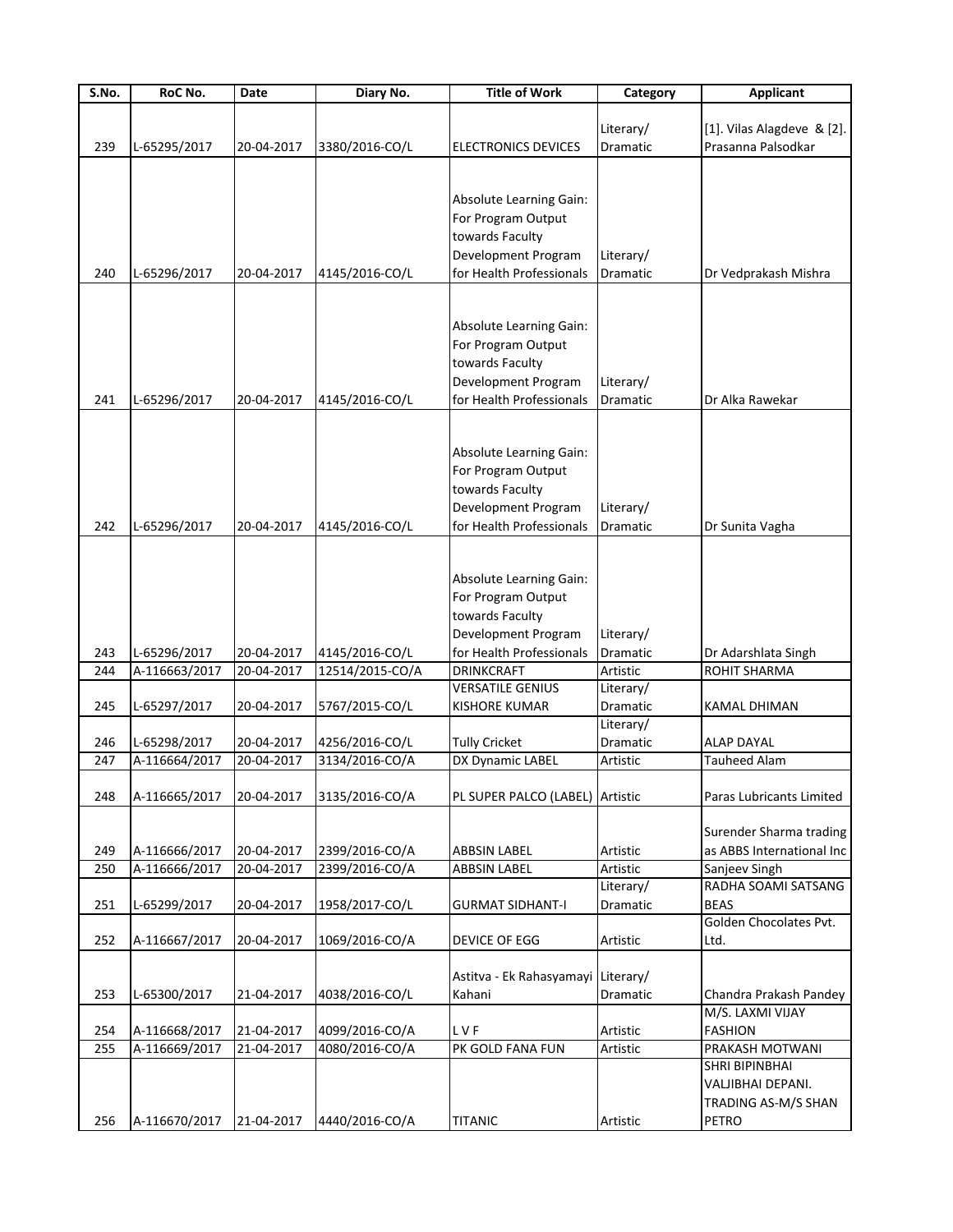| S.No.      | RoC No.       | Date       | Diary No.       | <b>Title of Work</b>            | Category        | <b>Applicant</b>           |
|------------|---------------|------------|-----------------|---------------------------------|-----------------|----------------------------|
|            |               |            |                 |                                 |                 |                            |
|            |               |            |                 |                                 | Literary/       | [1]. Vilas Alagdeve & [2]. |
| 239        | L-65295/2017  | 20-04-2017 | 3380/2016-CO/L  | <b>ELECTRONICS DEVICES</b>      | Dramatic        | Prasanna Palsodkar         |
|            |               |            |                 |                                 |                 |                            |
|            |               |            |                 |                                 |                 |                            |
|            |               |            |                 | <b>Absolute Learning Gain:</b>  |                 |                            |
|            |               |            |                 | For Program Output              |                 |                            |
|            |               |            |                 | towards Faculty                 |                 |                            |
|            |               |            |                 | Development Program             | Literary/       |                            |
| 240        | L-65296/2017  | 20-04-2017 | 4145/2016-CO/L  | for Health Professionals        | <b>Dramatic</b> | Dr Vedprakash Mishra       |
|            |               |            |                 |                                 |                 |                            |
|            |               |            |                 |                                 |                 |                            |
|            |               |            |                 | Absolute Learning Gain:         |                 |                            |
|            |               |            |                 | For Program Output              |                 |                            |
|            |               |            |                 | towards Faculty                 |                 |                            |
|            |               |            |                 | Development Program             | Literary/       |                            |
| 241        | L-65296/2017  | 20-04-2017 | 4145/2016-CO/L  | for Health Professionals        | Dramatic        | Dr Alka Rawekar            |
|            |               |            |                 |                                 |                 |                            |
|            |               |            |                 |                                 |                 |                            |
|            |               |            |                 | Absolute Learning Gain:         |                 |                            |
|            |               |            |                 | For Program Output              |                 |                            |
|            |               |            |                 | towards Faculty                 |                 |                            |
|            |               |            |                 | Development Program             | Literary/       |                            |
| 242        | L-65296/2017  | 20-04-2017 | 4145/2016-CO/L  | for Health Professionals        | Dramatic        | Dr Sunita Vagha            |
|            |               |            |                 |                                 |                 |                            |
|            |               |            |                 |                                 |                 |                            |
|            |               |            |                 | Absolute Learning Gain:         |                 |                            |
|            |               |            |                 | For Program Output              |                 |                            |
|            |               |            |                 | towards Faculty                 |                 |                            |
|            |               |            |                 |                                 |                 |                            |
|            |               |            |                 | Development Program             | Literary/       |                            |
| 243        | L-65296/2017  | 20-04-2017 | 4145/2016-CO/L  | for Health Professionals        | Dramatic        | Dr Adarshlata Singh        |
| 244        | A-116663/2017 | 20-04-2017 | 12514/2015-CO/A | <b>DRINKCRAFT</b>               | Artistic        | ROHIT SHARMA               |
|            |               |            |                 | <b>VERSATILE GENIUS</b>         | Literary/       |                            |
| 245        | L-65297/2017  | 20-04-2017 | 5767/2015-CO/L  | <b>KISHORE KUMAR</b>            | Dramatic        | <b>KAMAL DHIMAN</b>        |
|            |               |            |                 |                                 | Literary/       |                            |
| 246<br>247 | L-65298/2017  | 20-04-2017 | 4256/2016-CO/L  | <b>Tully Cricket</b>            | Dramatic        | <b>ALAP DAYAL</b>          |
|            | A-116664/2017 | 20-04-2017 | 3134/2016-CO/A  | DX Dynamic LABEL                | Artistic        | <b>Tauheed Alam</b>        |
| 248        | A-116665/2017 | 20-04-2017 | 3135/2016-CO/A  | PL SUPER PALCO (LABEL) Artistic |                 | Paras Lubricants Limited   |
|            |               |            |                 |                                 |                 |                            |
|            |               |            |                 |                                 |                 | Surender Sharma trading    |
| 249        | A-116666/2017 | 20-04-2017 | 2399/2016-CO/A  | <b>ABBSIN LABEL</b>             | Artistic        | as ABBS International Inc  |
| 250        | A-116666/2017 | 20-04-2017 | 2399/2016-CO/A  | ABBSIN LABEL                    | Artistic        |                            |
|            |               |            |                 |                                 |                 | Sanjeev Singh              |
|            |               |            |                 |                                 | Literary/       | RADHA SOAMI SATSANG        |
| 251        | L-65299/2017  | 20-04-2017 | 1958/2017-CO/L  | <b>GURMAT SIDHANT-I</b>         | Dramatic        | <b>BEAS</b>                |
|            |               |            |                 |                                 |                 | Golden Chocolates Pvt.     |
| 252        | A-116667/2017 | 20-04-2017 | 1069/2016-CO/A  | DEVICE OF EGG                   | Artistic        | Ltd.                       |
|            |               |            |                 |                                 |                 |                            |
|            |               |            |                 | Astitva - Ek Rahasyamayi        | Literary/       |                            |
| 253        | L-65300/2017  | 21-04-2017 | 4038/2016-CO/L  | Kahani                          | Dramatic        | Chandra Prakash Pandey     |
|            |               |            |                 |                                 |                 | M/S. LAXMI VIJAY           |
| 254        | A-116668/2017 | 21-04-2017 | 4099/2016-CO/A  | <b>LVF</b>                      | Artistic        | <b>FASHION</b>             |
| 255        | A-116669/2017 | 21-04-2017 | 4080/2016-CO/A  | PK GOLD FANA FUN                | Artistic        | PRAKASH MOTWANI            |
|            |               |            |                 |                                 |                 | SHRI BIPINBHAI             |
|            |               |            |                 |                                 |                 | VALJIBHAI DEPANI.          |
|            |               |            |                 |                                 |                 | TRADING AS-M/S SHAN        |
| 256        | A-116670/2017 | 21-04-2017 | 4440/2016-CO/A  | <b>TITANIC</b>                  | Artistic        | PETRO                      |
|            |               |            |                 |                                 |                 |                            |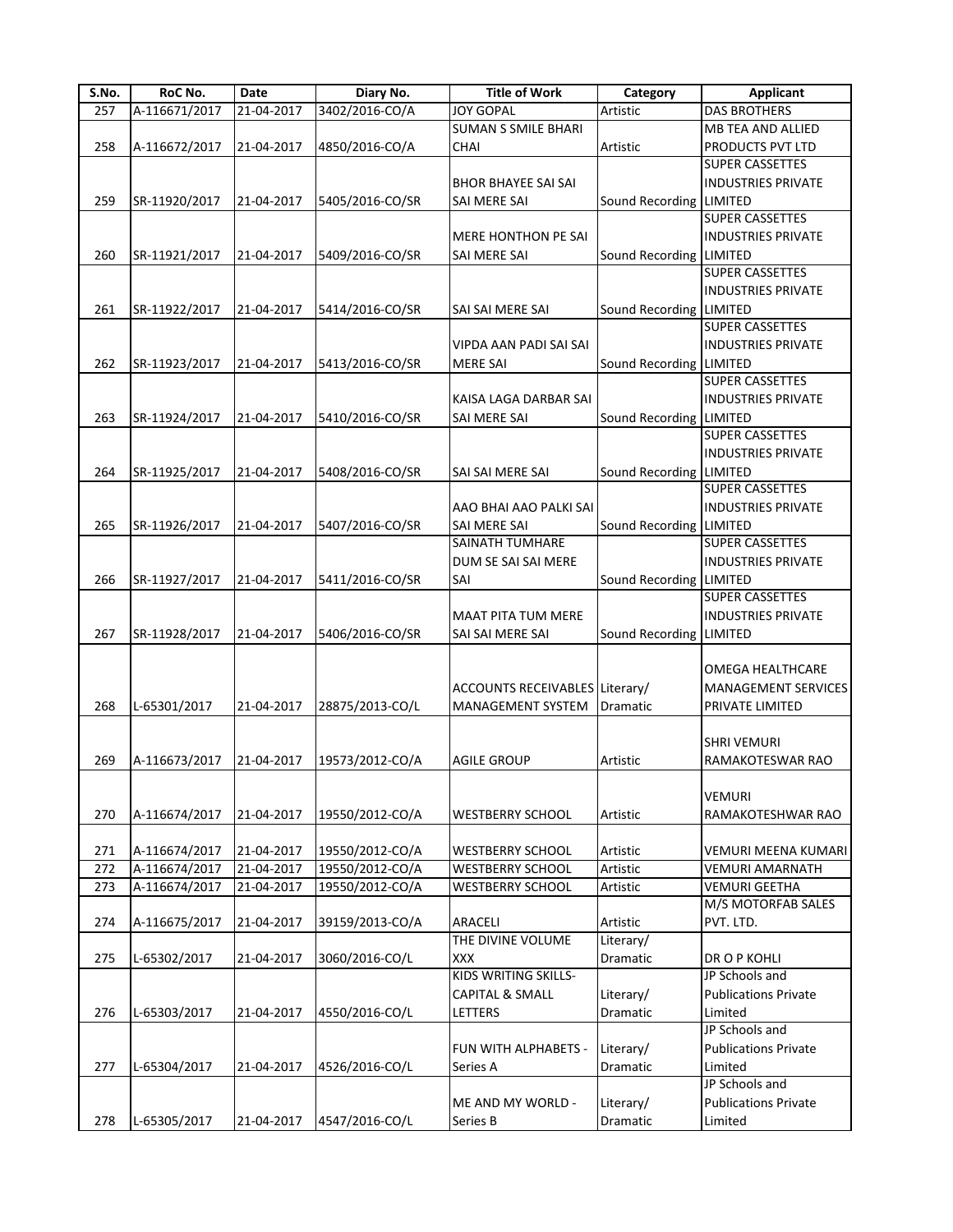| S.No. | RoC No.       | Date       | Diary No.       | <b>Title of Work</b>           | Category              | <b>Applicant</b>                         |
|-------|---------------|------------|-----------------|--------------------------------|-----------------------|------------------------------------------|
| 257   | A-116671/2017 | 21-04-2017 | 3402/2016-CO/A  | <b>JOY GOPAL</b>               | Artistic              | <b>DAS BROTHERS</b>                      |
|       |               |            |                 | <b>SUMAN S SMILE BHARI</b>     |                       | MB TEA AND ALLIED                        |
| 258   | A-116672/2017 | 21-04-2017 | 4850/2016-CO/A  | CHAI                           | Artistic              | PRODUCTS PVT LTD                         |
|       |               |            |                 |                                |                       | SUPER CASSETTES                          |
|       |               |            |                 | <b>BHOR BHAYEE SAI SAI</b>     |                       | <b>INDUSTRIES PRIVATE</b>                |
| 259   | SR-11920/2017 | 21-04-2017 | 5405/2016-CO/SR | SAI MERE SAI                   | Sound Recording       | LIMITED                                  |
|       |               |            |                 |                                |                       | <b>SUPER CASSETTES</b>                   |
|       |               |            |                 | MERE HONTHON PE SAI            |                       | <b>INDUSTRIES PRIVATE</b>                |
| 260   | SR-11921/2017 | 21-04-2017 | 5409/2016-CO/SR | SAI MERE SAI                   | Sound Recording       | <b>LIMITED</b>                           |
|       |               |            |                 |                                |                       | <b>SUPER CASSETTES</b>                   |
|       |               |            |                 |                                |                       | <b>INDUSTRIES PRIVATE</b>                |
| 261   | SR-11922/2017 | 21-04-2017 | 5414/2016-CO/SR | SAI SAI MERE SAI               | Sound Recording       | LIMITED                                  |
|       |               |            |                 |                                |                       | <b>SUPER CASSETTES</b>                   |
|       |               |            |                 | VIPDA AAN PADI SAI SAI         |                       | <b>INDUSTRIES PRIVATE</b>                |
| 262   | SR-11923/2017 | 21-04-2017 | 5413/2016-CO/SR | <b>MERE SAI</b>                | Sound Recording       | LIMITED                                  |
|       |               |            |                 |                                |                       | SUPER CASSETTES                          |
|       |               |            |                 | KAISA LAGA DARBAR SAI          |                       | <b>INDUSTRIES PRIVATE</b>                |
|       |               |            |                 |                                |                       |                                          |
| 263   | SR-11924/2017 | 21-04-2017 | 5410/2016-CO/SR | SAI MERE SAI                   | Sound Recording       | <b>LIMITED</b><br><b>SUPER CASSETTES</b> |
|       |               |            |                 |                                |                       |                                          |
|       |               |            |                 |                                |                       | <b>INDUSTRIES PRIVATE</b>                |
| 264   | SR-11925/2017 | 21-04-2017 | 5408/2016-CO/SR | SAI SAI MERE SAI               | Sound Recording       | <b>LIMITED</b>                           |
|       |               |            |                 |                                |                       | <b>SUPER CASSETTES</b>                   |
|       |               |            |                 | AAO BHAI AAO PALKI SAI         |                       | <b>INDUSTRIES PRIVATE</b>                |
| 265   | SR-11926/2017 | 21-04-2017 | 5407/2016-CO/SR | SAI MERE SAI                   | Sound Recording       | <b>LIMITED</b>                           |
|       |               |            |                 | SAINATH TUMHARE                |                       | <b>SUPER CASSETTES</b>                   |
|       |               |            |                 | DUM SE SAI SAI MERE            |                       | <b>INDUSTRIES PRIVATE</b>                |
| 266   | SR-11927/2017 | 21-04-2017 | 5411/2016-CO/SR | SAI                            | Sound Recording       | LIMITED                                  |
|       |               |            |                 |                                |                       | <b>SUPER CASSETTES</b>                   |
|       |               |            |                 | MAAT PITA TUM MERE             |                       | <b>INDUSTRIES PRIVATE</b>                |
| 267   | SR-11928/2017 | 21-04-2017 | 5406/2016-CO/SR | SAI SAI MERE SAI               | Sound Recording       | LIMITED                                  |
|       |               |            |                 |                                |                       |                                          |
|       |               |            |                 |                                |                       | OMEGA HEALTHCARE                         |
|       |               |            |                 | ACCOUNTS RECEIVABLES Literary/ |                       | <b>MANAGEMENT SERVICES</b>               |
| 268   | L-65301/2017  | 21-04-2017 | 28875/2013-CO/L | MANAGEMENT SYSTEM              | Dramatic              | PRIVATE LIMITED                          |
|       |               |            |                 |                                |                       |                                          |
|       |               |            |                 |                                |                       | <b>SHRI VEMURI</b>                       |
| 269   | A-116673/2017 | 21-04-2017 | 19573/2012-CO/A | <b>AGILE GROUP</b>             | Artistic              | RAMAKOTESWAR RAO                         |
|       |               |            |                 |                                |                       |                                          |
|       |               |            |                 |                                |                       | <b>VEMURI</b>                            |
| 270   | A-116674/2017 | 21-04-2017 | 19550/2012-CO/A | WESTBERRY SCHOOL               | Artistic              | RAMAKOTESHWAR RAO                        |
|       |               |            |                 |                                |                       |                                          |
| 271   | A-116674/2017 | 21-04-2017 | 19550/2012-CO/A | <b>WESTBERRY SCHOOL</b>        | Artistic              | VEMURI MEENA KUMARI                      |
| 272   | A-116674/2017 | 21-04-2017 | 19550/2012-CO/A | <b>WESTBERRY SCHOOL</b>        | Artistic              | <b>VEMURI AMARNATH</b>                   |
| 273   | A-116674/2017 | 21-04-2017 | 19550/2012-CO/A | WESTBERRY SCHOOL               | Artistic              | <b>VEMURI GEETHA</b>                     |
|       |               |            |                 |                                |                       | M/S MOTORFAB SALES                       |
| 274   |               | 21-04-2017 |                 | <b>ARACELI</b>                 |                       | PVT. LTD.                                |
|       | A-116675/2017 |            | 39159/2013-CO/A | THE DIVINE VOLUME              | Artistic<br>Literary/ |                                          |
|       |               |            |                 |                                |                       |                                          |
| 275   | L-65302/2017  | 21-04-2017 | 3060/2016-CO/L  | <b>XXX</b>                     | Dramatic              | DR O P KOHLI                             |
|       |               |            |                 | <b>KIDS WRITING SKILLS-</b>    |                       | JP Schools and                           |
|       |               |            |                 | CAPITAL & SMALL                | Literary/             | <b>Publications Private</b>              |
| 276   | L-65303/2017  | 21-04-2017 | 4550/2016-CO/L  | LETTERS                        | Dramatic              | Limited                                  |
|       |               |            |                 |                                |                       | JP Schools and                           |
|       |               |            |                 | FUN WITH ALPHABETS -           | Literary/             | <b>Publications Private</b>              |
| 277   | L-65304/2017  | 21-04-2017 | 4526/2016-CO/L  | Series A                       | Dramatic              | Limited                                  |
|       |               |            |                 |                                |                       | JP Schools and                           |
|       |               |            |                 | ME AND MY WORLD -              | Literary/             | <b>Publications Private</b>              |
| 278   | L-65305/2017  | 21-04-2017 | 4547/2016-CO/L  | Series B                       | Dramatic              | Limited                                  |
|       |               |            |                 |                                |                       |                                          |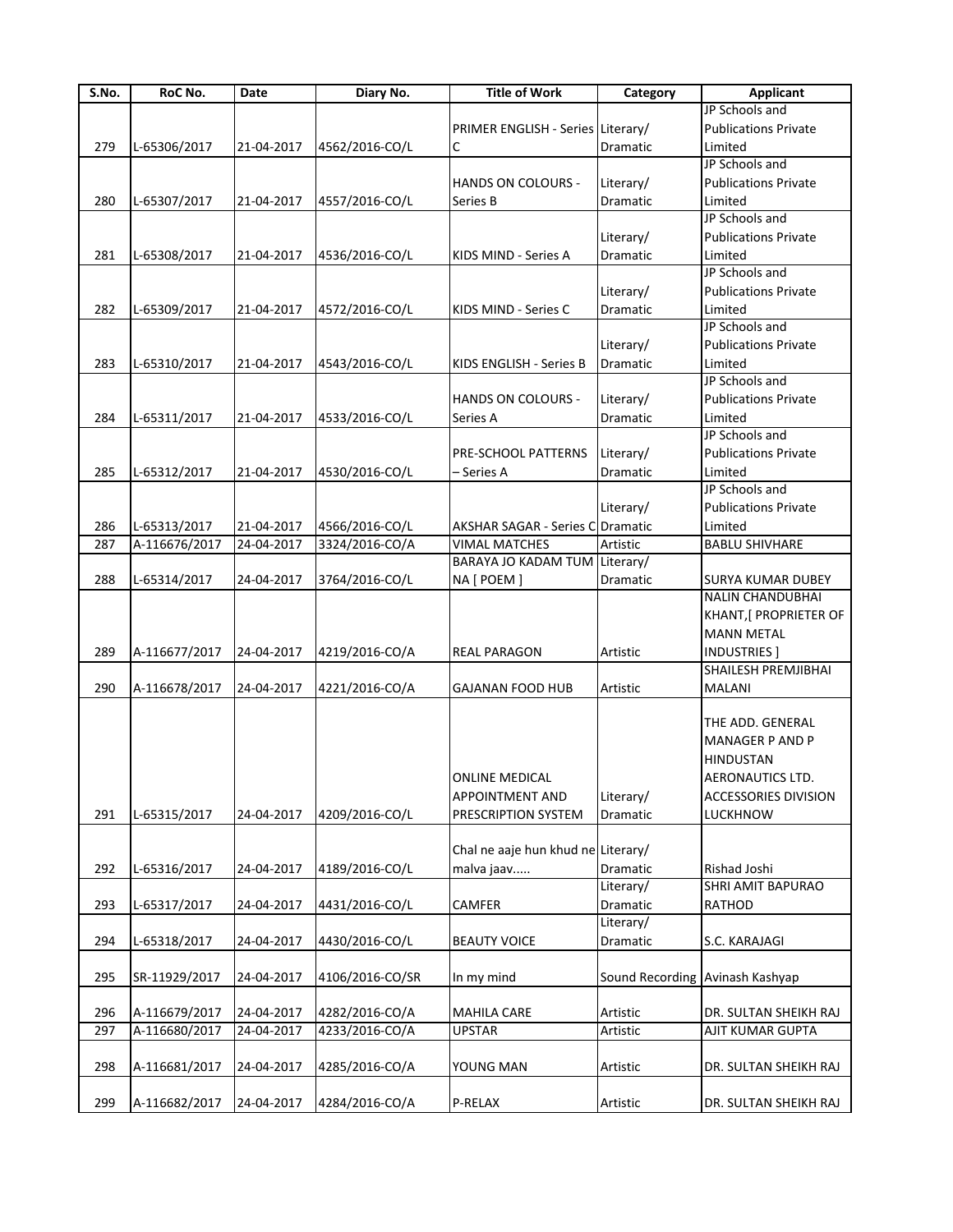| S.No. | RoC No.       | Date       | Diary No.       | <b>Title of Work</b>                    | Category        | <b>Applicant</b>            |
|-------|---------------|------------|-----------------|-----------------------------------------|-----------------|-----------------------------|
|       |               |            |                 |                                         |                 | JP Schools and              |
|       |               |            |                 | PRIMER ENGLISH - Series Literary/       |                 | <b>Publications Private</b> |
| 279   | L-65306/2017  | 21-04-2017 | 4562/2016-CO/L  | С                                       | Dramatic        | Limited                     |
|       |               |            |                 |                                         |                 | JP Schools and              |
|       |               |            |                 | <b>HANDS ON COLOURS -</b>               | Literary/       | <b>Publications Private</b> |
| 280   | L-65307/2017  | 21-04-2017 | 4557/2016-CO/L  | Series B                                | Dramatic        | Limited                     |
|       |               |            |                 |                                         |                 | JP Schools and              |
|       |               |            |                 |                                         | Literary/       | <b>Publications Private</b> |
| 281   | L-65308/2017  | 21-04-2017 | 4536/2016-CO/L  | KIDS MIND - Series A                    | Dramatic        | Limited                     |
|       |               |            |                 |                                         |                 | JP Schools and              |
|       |               |            |                 |                                         |                 | <b>Publications Private</b> |
|       |               |            |                 |                                         | Literary/       |                             |
| 282   | L-65309/2017  | 21-04-2017 | 4572/2016-CO/L  | KIDS MIND - Series C                    | Dramatic        | Limited                     |
|       |               |            |                 |                                         |                 | JP Schools and              |
|       |               |            |                 |                                         | Literary/       | <b>Publications Private</b> |
| 283   | L-65310/2017  | 21-04-2017 | 4543/2016-CO/L  | KIDS ENGLISH - Series B                 | Dramatic        | Limited                     |
|       |               |            |                 |                                         |                 | JP Schools and              |
|       |               |            |                 | <b>HANDS ON COLOURS -</b>               | Literary/       | <b>Publications Private</b> |
| 284   | L-65311/2017  | 21-04-2017 | 4533/2016-CO/L  | Series A                                | Dramatic        | Limited                     |
|       |               |            |                 |                                         |                 | JP Schools and              |
|       |               |            |                 | PRE-SCHOOL PATTERNS                     | Literary/       | <b>Publications Private</b> |
| 285   | L-65312/2017  | 21-04-2017 | 4530/2016-CO/L  | Series A                                | Dramatic        | Limited                     |
|       |               |            |                 |                                         |                 | JP Schools and              |
|       |               |            |                 |                                         | Literary/       | <b>Publications Private</b> |
|       |               |            |                 |                                         |                 |                             |
| 286   | L-65313/2017  | 21-04-2017 | 4566/2016-CO/L  | <b>AKSHAR SAGAR - Series COPramatic</b> |                 | Limited                     |
| 287   | A-116676/2017 | 24-04-2017 | 3324/2016-CO/A  | <b>VIMAL MATCHES</b>                    | Artistic        | <b>BABLU SHIVHARE</b>       |
|       |               |            |                 | BARAYA JO KADAM TUM Literary/           |                 |                             |
| 288   | L-65314/2017  | 24-04-2017 | 3764/2016-CO/L  | NA [ POEM ]                             | Dramatic        | <b>SURYA KUMAR DUBEY</b>    |
|       |               |            |                 |                                         |                 | <b>NALIN CHANDUBHAI</b>     |
|       |               |            |                 |                                         |                 | KHANT, PROPRIETER OF        |
|       |               |            |                 |                                         |                 | <b>MANN METAL</b>           |
| 289   | A-116677/2017 | 24-04-2017 | 4219/2016-CO/A  | <b>REAL PARAGON</b>                     | Artistic        | <b>INDUSTRIES</b> ]         |
|       |               |            |                 |                                         |                 | SHAILESH PREMJIBHAI         |
| 290   | A-116678/2017 | 24-04-2017 | 4221/2016-CO/A  | <b>GAJANAN FOOD HUB</b>                 | Artistic        | <b>MALANI</b>               |
|       |               |            |                 |                                         |                 |                             |
|       |               |            |                 |                                         |                 | THE ADD. GENERAL            |
|       |               |            |                 |                                         |                 | MANAGER P AND P             |
|       |               |            |                 |                                         |                 | <b>HINDUSTAN</b>            |
|       |               |            |                 |                                         |                 |                             |
|       |               |            |                 | <b>ONLINE MEDICAL</b>                   |                 | AERONAUTICS LTD.            |
|       |               |            |                 | APPOINTMENT AND                         | Literary/       | <b>ACCESSORIES DIVISION</b> |
| 291   | L-65315/2017  | 24-04-2017 | 4209/2016-CO/L  | PRESCRIPTION SYSTEM                     | Dramatic        | <b>LUCKHNOW</b>             |
|       |               |            |                 |                                         |                 |                             |
|       |               |            |                 | Chal ne aaje hun khud ne Literary/      |                 |                             |
| 292   | L-65316/2017  | 24-04-2017 | 4189/2016-CO/L  | malva jaav                              | Dramatic        | Rishad Joshi                |
|       |               |            |                 |                                         | Literary/       | SHRI AMIT BAPURAO           |
| 293   | L-65317/2017  | 24-04-2017 | 4431/2016-CO/L  | CAMFER                                  | Dramatic        | RATHOD                      |
|       |               |            |                 |                                         | Literary/       |                             |
| 294   | L-65318/2017  | 24-04-2017 | 4430/2016-CO/L  | <b>BEAUTY VOICE</b>                     | Dramatic        | S.C. KARAJAGI               |
|       |               |            |                 |                                         |                 |                             |
| 295   | SR-11929/2017 | 24-04-2017 | 4106/2016-CO/SR | In my mind                              | Sound Recording |                             |
|       |               |            |                 |                                         |                 | Avinash Kashyap             |
|       |               |            |                 |                                         |                 |                             |
| 296   | A-116679/2017 | 24-04-2017 | 4282/2016-CO/A  | <b>MAHILA CARE</b>                      | Artistic        | DR. SULTAN SHEIKH RAJ       |
| 297   | A-116680/2017 | 24-04-2017 | 4233/2016-CO/A  | <b>UPSTAR</b>                           | Artistic        | AJIT KUMAR GUPTA            |
|       |               |            |                 |                                         |                 |                             |
| 298   | A-116681/2017 | 24-04-2017 | 4285/2016-CO/A  | YOUNG MAN                               | Artistic        | DR. SULTAN SHEIKH RAJ       |
|       |               |            |                 |                                         |                 |                             |
| 299   | A-116682/2017 | 24-04-2017 | 4284/2016-CO/A  | P-RELAX                                 | Artistic        | DR. SULTAN SHEIKH RAJ       |
|       |               |            |                 |                                         |                 |                             |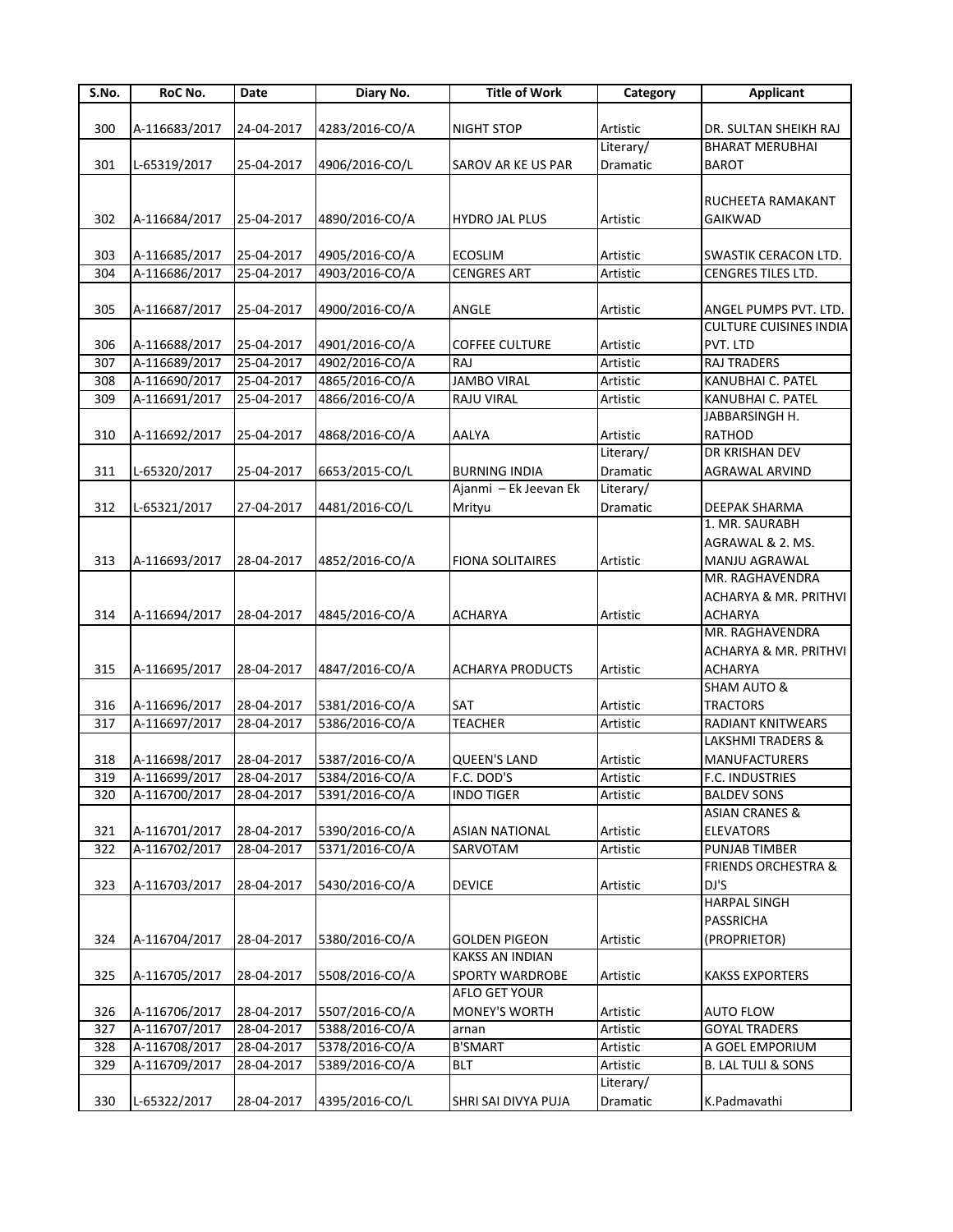| S.No. | RoC No.       | Date       | Diary No.      | <b>Title of Work</b>    | Category  | <b>Applicant</b>                 |
|-------|---------------|------------|----------------|-------------------------|-----------|----------------------------------|
|       |               |            |                |                         |           |                                  |
| 300   | A-116683/2017 | 24-04-2017 | 4283/2016-CO/A | NIGHT STOP              | Artistic  | DR. SULTAN SHEIKH RAJ            |
|       |               |            |                |                         | Literary/ | <b>BHARAT MERUBHAI</b>           |
| 301   | L-65319/2017  | 25-04-2017 | 4906/2016-CO/L | SAROV AR KE US PAR      | Dramatic  | <b>BAROT</b>                     |
|       |               |            |                |                         |           |                                  |
|       |               |            |                |                         |           | RUCHEETA RAMAKANT                |
| 302   | A-116684/2017 | 25-04-2017 | 4890/2016-CO/A | <b>HYDRO JAL PLUS</b>   | Artistic  | <b>GAIKWAD</b>                   |
|       |               |            |                |                         |           |                                  |
| 303   | A-116685/2017 | 25-04-2017 | 4905/2016-CO/A | <b>ECOSLIM</b>          | Artistic  | SWASTIK CERACON LTD.             |
| 304   | A-116686/2017 | 25-04-2017 | 4903/2016-CO/A | <b>CENGRES ART</b>      | Artistic  | CENGRES TILES LTD.               |
| 305   | A-116687/2017 | 25-04-2017 | 4900/2016-CO/A | ANGLE                   | Artistic  | ANGEL PUMPS PVT. LTD.            |
|       |               |            |                |                         |           | <b>CULTURE CUISINES INDIA</b>    |
| 306   | A-116688/2017 | 25-04-2017 | 4901/2016-CO/A | <b>COFFEE CULTURE</b>   | Artistic  | PVT. LTD                         |
| 307   | A-116689/2017 | 25-04-2017 | 4902/2016-CO/A | RAJ                     | Artistic  | <b>RAJ TRADERS</b>               |
| 308   | A-116690/2017 | 25-04-2017 | 4865/2016-CO/A | <b>JAMBO VIRAL</b>      | Artistic  | KANUBHAI C. PATEL                |
| 309   | A-116691/2017 | 25-04-2017 | 4866/2016-CO/A | <b>RAJU VIRAL</b>       | Artistic  | KANUBHAI C. PATEL                |
|       |               |            |                |                         |           | JABBARSINGH H.                   |
| 310   | A-116692/2017 | 25-04-2017 | 4868/2016-CO/A | AALYA                   | Artistic  | <b>RATHOD</b>                    |
|       |               |            |                |                         | Literary/ | DR KRISHAN DEV                   |
| 311   | L-65320/2017  | 25-04-2017 | 6653/2015-CO/L | <b>BURNING INDIA</b>    | Dramatic  | AGRAWAL ARVIND                   |
|       |               |            |                | Ajanmi - Ek Jeevan Ek   | Literary/ |                                  |
| 312   | L-65321/2017  | 27-04-2017 | 4481/2016-CO/L | Mrityu                  | Dramatic  | DEEPAK SHARMA                    |
|       |               |            |                |                         |           | 1. MR. SAURABH                   |
|       |               |            |                |                         |           | AGRAWAL & 2. MS.                 |
| 313   | A-116693/2017 | 28-04-2017 | 4852/2016-CO/A | <b>FIONA SOLITAIRES</b> | Artistic  | MANJU AGRAWAL                    |
|       |               |            |                |                         |           | MR. RAGHAVENDRA                  |
|       |               |            |                |                         |           | <b>ACHARYA &amp; MR. PRITHVI</b> |
| 314   | A-116694/2017 | 28-04-2017 | 4845/2016-CO/A | ACHARYA                 | Artistic  | <b>ACHARYA</b>                   |
|       |               |            |                |                         |           | MR. RAGHAVENDRA                  |
|       |               |            |                |                         |           | <b>ACHARYA &amp; MR. PRITHVI</b> |
| 315   | A-116695/2017 | 28-04-2017 | 4847/2016-CO/A | <b>ACHARYA PRODUCTS</b> | Artistic  | <b>ACHARYA</b>                   |
|       |               |            |                |                         |           | SHAM AUTO &                      |
| 316   | A-116696/2017 | 28-04-2017 | 5381/2016-CO/A | SAT                     | Artistic  | <b>TRACTORS</b>                  |
| 317   | A-116697/2017 | 28-04-2017 | 5386/2016-CO/A | <b>TEACHER</b>          | Artistic  | <b>RADIANT KNITWEARS</b>         |
|       |               |            |                |                         |           | LAKSHMI TRADERS &                |
| 318   | A-116698/2017 | 28-04-2017 | 5387/2016-CO/A | <b>QUEEN'S LAND</b>     | Artistic  | MANUFACTURERS                    |
| 319   | A-116699/2017 | 28-04-2017 | 5384/2016-CO/A | F.C. DOD'S              | Artistic  | F.C. INDUSTRIES                  |
| 320   | A-116700/2017 | 28-04-2017 | 5391/2016-CO/A | <b>INDO TIGER</b>       | Artistic  | <b>BALDEV SONS</b>               |
|       |               |            |                |                         |           | <b>ASIAN CRANES &amp;</b>        |
| 321   | A-116701/2017 | 28-04-2017 | 5390/2016-CO/A | <b>ASIAN NATIONAL</b>   | Artistic  | <b>ELEVATORS</b>                 |
| 322   | A-116702/2017 | 28-04-2017 | 5371/2016-CO/A | SARVOTAM                | Artistic  | PUNJAB TIMBER                    |
|       |               |            |                |                         |           | <b>FRIENDS ORCHESTRA &amp;</b>   |
| 323   | A-116703/2017 | 28-04-2017 | 5430/2016-CO/A | <b>DEVICE</b>           | Artistic  | DJ'S                             |
|       |               |            |                |                         |           | <b>HARPAL SINGH</b>              |
|       |               |            |                |                         |           | PASSRICHA                        |
| 324   | A-116704/2017 | 28-04-2017 | 5380/2016-CO/A | <b>GOLDEN PIGEON</b>    | Artistic  | (PROPRIETOR)                     |
|       |               |            |                | <b>KAKSS AN INDIAN</b>  |           |                                  |
| 325   | A-116705/2017 | 28-04-2017 | 5508/2016-CO/A | <b>SPORTY WARDROBE</b>  | Artistic  | KAKSS EXPORTERS                  |
|       |               |            |                | AFLO GET YOUR           |           |                                  |
| 326   | A-116706/2017 | 28-04-2017 | 5507/2016-CO/A | <b>MONEY'S WORTH</b>    | Artistic  | <b>AUTO FLOW</b>                 |
| 327   | A-116707/2017 | 28-04-2017 | 5388/2016-CO/A | arnan                   | Artistic  | <b>GOYAL TRADERS</b>             |
| 328   | A-116708/2017 | 28-04-2017 | 5378/2016-CO/A | <b>B'SMART</b>          | Artistic  | A GOEL EMPORIUM                  |
| 329   | A-116709/2017 | 28-04-2017 | 5389/2016-CO/A | <b>BLT</b>              | Artistic  | <b>B. LAL TULI &amp; SONS</b>    |
|       |               |            |                |                         | Literary/ |                                  |
| 330   | L-65322/2017  | 28-04-2017 | 4395/2016-CO/L | SHRI SAI DIVYA PUJA     | Dramatic  | K.Padmavathi                     |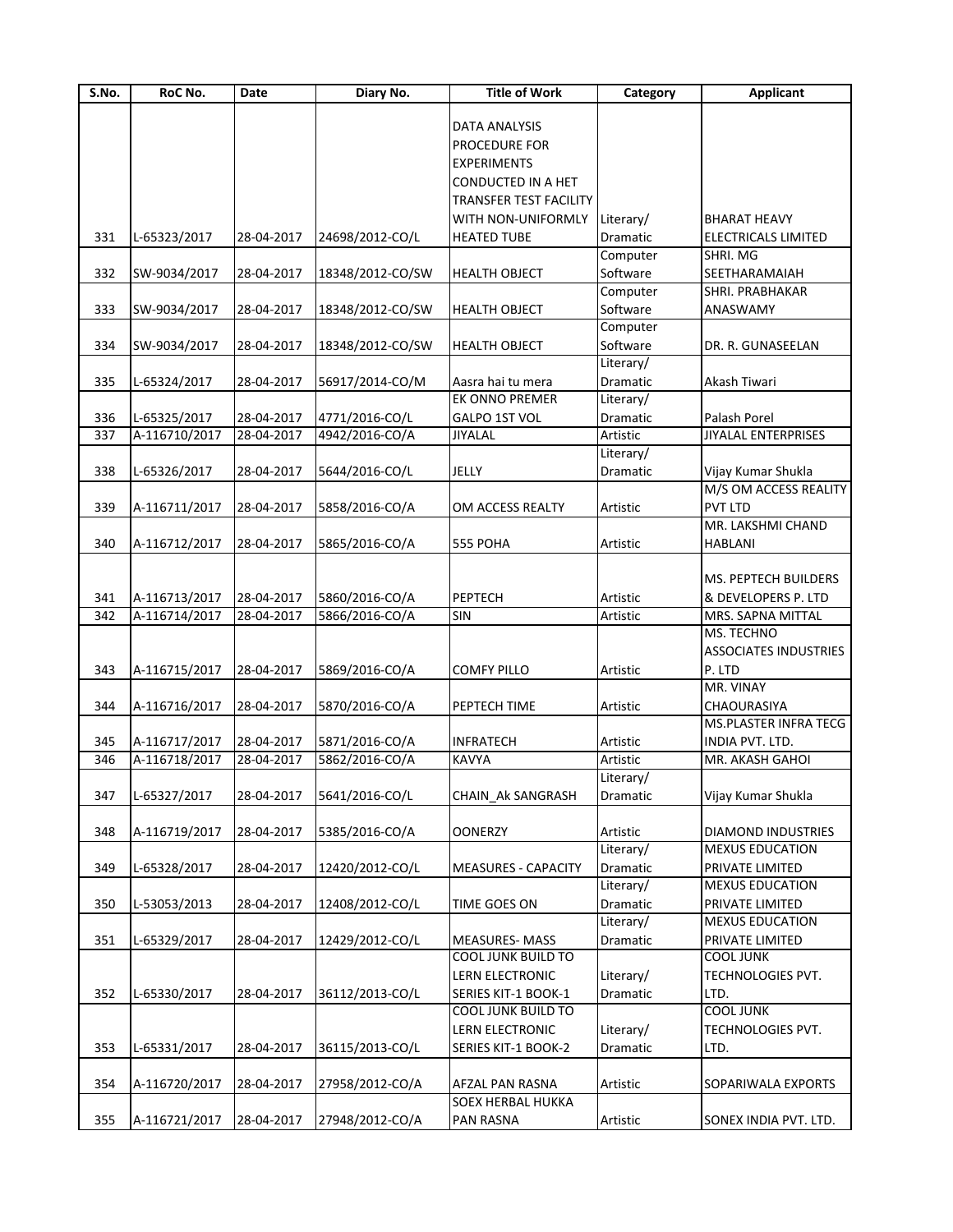| S.No. | RoC No.       | Date       | Diary No.        | <b>Title of Work</b>          | Category  | <b>Applicant</b>             |
|-------|---------------|------------|------------------|-------------------------------|-----------|------------------------------|
|       |               |            |                  |                               |           |                              |
|       |               |            |                  | <b>DATA ANALYSIS</b>          |           |                              |
|       |               |            |                  | PROCEDURE FOR                 |           |                              |
|       |               |            |                  | <b>EXPERIMENTS</b>            |           |                              |
|       |               |            |                  | CONDUCTED IN A HET            |           |                              |
|       |               |            |                  | <b>TRANSFER TEST FACILITY</b> |           |                              |
|       |               |            |                  | WITH NON-UNIFORMLY            | Literary/ | <b>BHARAT HEAVY</b>          |
| 331   | L-65323/2017  | 28-04-2017 | 24698/2012-CO/L  | <b>HEATED TUBE</b>            | Dramatic  | <b>ELECTRICALS LIMITED</b>   |
|       |               |            |                  |                               | Computer  | SHRI. MG                     |
| 332   | SW-9034/2017  | 28-04-2017 | 18348/2012-CO/SW | <b>HEALTH OBJECT</b>          | Software  | SEETHARAMAIAH                |
|       |               |            |                  |                               | Computer  | SHRI. PRABHAKAR              |
| 333   | SW-9034/2017  | 28-04-2017 | 18348/2012-CO/SW | <b>HEALTH OBJECT</b>          | Software  | ANASWAMY                     |
|       |               |            |                  |                               | Computer  |                              |
| 334   | SW-9034/2017  | 28-04-2017 | 18348/2012-CO/SW | <b>HEALTH OBJECT</b>          | Software  | DR. R. GUNASEELAN            |
|       |               |            |                  |                               | Literary/ |                              |
| 335   | L-65324/2017  | 28-04-2017 | 56917/2014-CO/M  | Aasra hai tu mera             | Dramatic  | Akash Tiwari                 |
|       |               |            |                  | EK ONNO PREMER                | Literary/ |                              |
| 336   | L-65325/2017  | 28-04-2017 | 4771/2016-CO/L   | GALPO 1ST VOL                 | Dramatic  | Palash Porel                 |
|       |               | 28-04-2017 |                  |                               | Artistic  | <b>JIYALAL ENTERPRISES</b>   |
| 337   | A-116710/2017 |            | 4942/2016-CO/A   | <b>JIYALAL</b>                |           |                              |
|       |               |            |                  |                               | Literary/ |                              |
| 338   | L-65326/2017  | 28-04-2017 | 5644/2016-CO/L   | JELLY                         | Dramatic  | Vijay Kumar Shukla           |
|       |               |            |                  |                               |           | M/S OM ACCESS REALITY        |
| 339   | A-116711/2017 | 28-04-2017 | 5858/2016-CO/A   | OM ACCESS REALTY              | Artistic  | <b>PVT LTD</b>               |
|       |               |            |                  |                               |           | MR. LAKSHMI CHAND            |
| 340   | A-116712/2017 | 28-04-2017 | 5865/2016-CO/A   | <b>555 POHA</b>               | Artistic  | <b>HABLANI</b>               |
|       |               |            |                  |                               |           |                              |
|       |               |            |                  |                               |           | MS. PEPTECH BUILDERS         |
| 341   | A-116713/2017 | 28-04-2017 | 5860/2016-CO/A   | PEPTECH                       | Artistic  | & DEVELOPERS P. LTD          |
| 342   | A-116714/2017 | 28-04-2017 | 5866/2016-CO/A   | SIN                           | Artistic  | MRS. SAPNA MITTAL            |
|       |               |            |                  |                               |           | MS. TECHNO                   |
|       |               |            |                  |                               |           | <b>ASSOCIATES INDUSTRIES</b> |
| 343   | A-116715/2017 | 28-04-2017 | 5869/2016-CO/A   | <b>COMFY PILLO</b>            | Artistic  | P. LTD                       |
|       |               |            |                  |                               |           | MR. VINAY                    |
| 344   | A-116716/2017 | 28-04-2017 | 5870/2016-CO/A   | PEPTECH TIME                  | Artistic  | CHAOURASIYA                  |
|       |               |            |                  |                               |           | <b>MS.PLASTER INFRA TECG</b> |
| 345   | A-116717/2017 | 28-04-2017 | 5871/2016-CO/A   | <b>INFRATECH</b>              | Artistic  | INDIA PVT. LTD.              |
| 346   | A-116718/2017 | 28-04-2017 | 5862/2016-CO/A   | <b>KAVYA</b>                  | Artistic  | MR. AKASH GAHOI              |
|       |               |            |                  |                               | Literary/ |                              |
| 347   | L-65327/2017  | 28-04-2017 | 5641/2016-CO/L   | CHAIN_Ak SANGRASH             | Dramatic  | Vijay Kumar Shukla           |
|       |               |            |                  |                               |           |                              |
| 348   | A-116719/2017 | 28-04-2017 | 5385/2016-CO/A   | <b>OONERZY</b>                | Artistic  | <b>DIAMOND INDUSTRIES</b>    |
|       |               |            |                  |                               | Literary/ | <b>MEXUS EDUCATION</b>       |
| 349   | L-65328/2017  | 28-04-2017 | 12420/2012-CO/L  | <b>MEASURES - CAPACITY</b>    | Dramatic  | PRIVATE LIMITED              |
|       |               |            |                  |                               | Literary/ | <b>MEXUS EDUCATION</b>       |
|       |               |            |                  |                               |           |                              |
| 350   | L-53053/2013  | 28-04-2017 | 12408/2012-CO/L  | TIME GOES ON                  | Dramatic  | PRIVATE LIMITED              |
|       |               |            |                  |                               | Literary/ | <b>MEXUS EDUCATION</b>       |
| 351   | L-65329/2017  | 28-04-2017 | 12429/2012-CO/L  | <b>MEASURES- MASS</b>         | Dramatic  | PRIVATE LIMITED              |
|       |               |            |                  | COOL JUNK BUILD TO            |           | <b>COOL JUNK</b>             |
|       |               |            |                  | <b>LERN ELECTRONIC</b>        | Literary/ | TECHNOLOGIES PVT.            |
| 352   | L-65330/2017  | 28-04-2017 | 36112/2013-CO/L  | SERIES KIT-1 BOOK-1           | Dramatic  | LTD.                         |
|       |               |            |                  | COOL JUNK BUILD TO            |           | <b>COOL JUNK</b>             |
|       |               |            |                  | <b>LERN ELECTRONIC</b>        | Literary/ | TECHNOLOGIES PVT.            |
| 353   | L-65331/2017  | 28-04-2017 | 36115/2013-CO/L  | SERIES KIT-1 BOOK-2           | Dramatic  | LTD.                         |
|       |               |            |                  |                               |           |                              |
| 354   | A-116720/2017 | 28-04-2017 | 27958/2012-CO/A  | AFZAL PAN RASNA               | Artistic  | SOPARIWALA EXPORTS           |
|       |               |            |                  | <b>SOEX HERBAL HUKKA</b>      |           |                              |
| 355   | A-116721/2017 | 28-04-2017 | 27948/2012-CO/A  | PAN RASNA                     | Artistic  | SONEX INDIA PVT. LTD.        |
|       |               |            |                  |                               |           |                              |